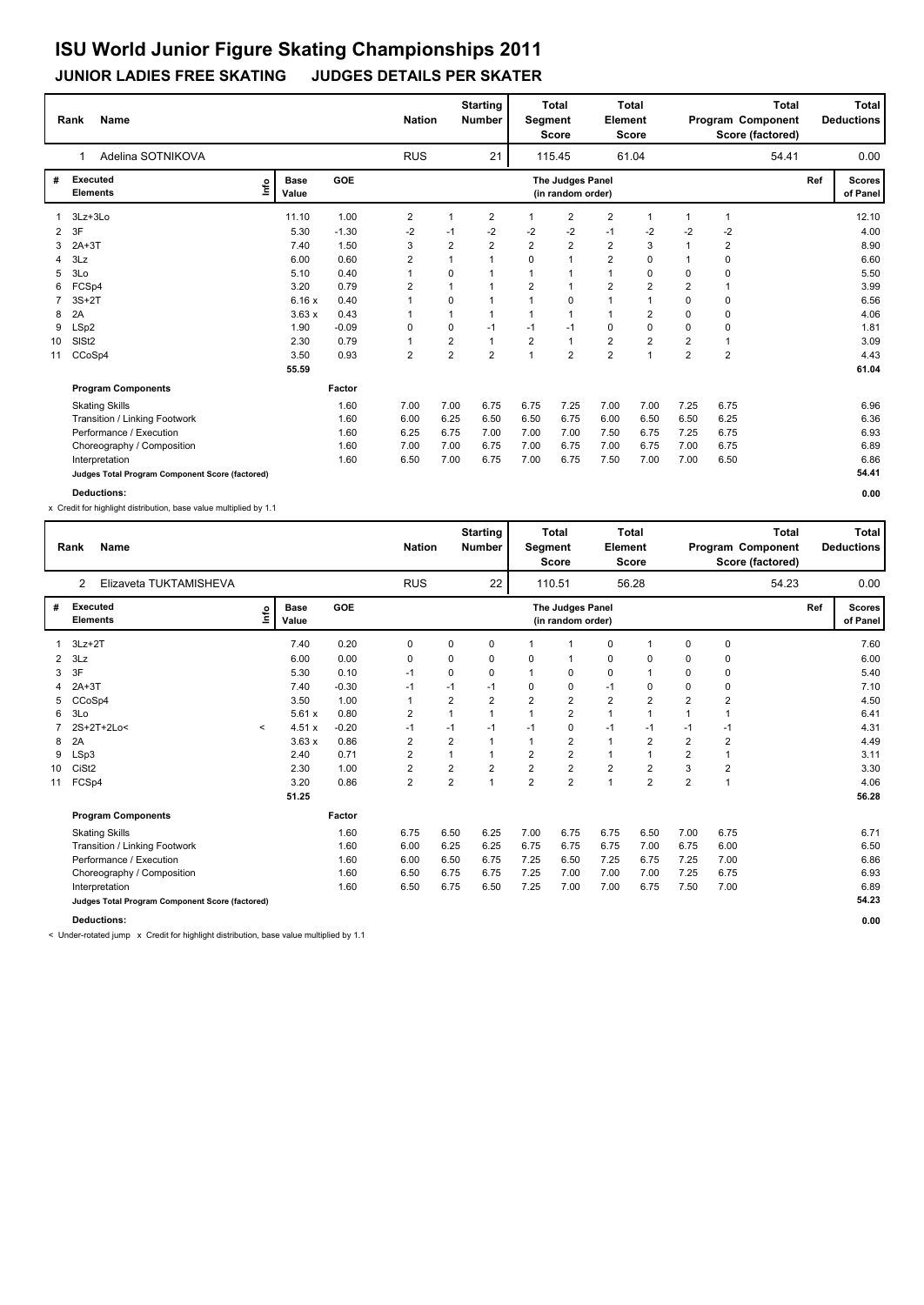#### **JUNIOR LADIES FREE SKATING JUDGES DETAILS PER SKATER**

|                      | <b>Name</b><br>Rank                             |                      |         | <b>Nation</b> |                | <b>Starting</b><br><b>Number</b> | Segment        | <b>Total</b><br><b>Score</b>          | Element        | <b>Total</b><br><b>Score</b> |                | Program Component | <b>Total</b><br>Score (factored) |     | Total<br><b>Deductions</b> |
|----------------------|-------------------------------------------------|----------------------|---------|---------------|----------------|----------------------------------|----------------|---------------------------------------|----------------|------------------------------|----------------|-------------------|----------------------------------|-----|----------------------------|
|                      | Adelina SOTNIKOVA<br>1                          |                      |         | <b>RUS</b>    |                | 21                               |                | 115.45                                |                | 61.04                        |                |                   | 54.41                            |     | 0.00                       |
| #                    | <b>Executed</b><br>Lnfo<br><b>Elements</b>      | <b>Base</b><br>Value | GOE     |               |                |                                  |                | The Judges Panel<br>(in random order) |                |                              |                |                   |                                  | Ref | <b>Scores</b><br>of Panel  |
|                      | 3Lz+3Lo                                         | 11.10                | 1.00    | 2             | 1              | $\overline{2}$                   | $\mathbf 1$    | 2                                     | $\overline{2}$ | $\overline{1}$               |                | 1                 |                                  |     | 12.10                      |
| $\mathbf{2}^{\circ}$ | 3F                                              | 5.30                 | $-1.30$ | $-2$          | $-1$           | $-2$                             | $-2$           | $-2$                                  | $-1$           | $-2$                         | $-2$           | $-2$              |                                  |     | 4.00                       |
| 3                    | $2A+3T$                                         | 7.40                 | 1.50    | 3             | $\overline{2}$ | $\overline{2}$                   | $\overline{2}$ | $\overline{2}$                        | $\overline{2}$ | 3                            |                | 2                 |                                  |     | 8.90                       |
| 4                    | 3Lz                                             | 6.00                 | 0.60    | 2             | 1              | $\overline{ }$                   | $\Omega$       | $\overline{1}$                        | $\overline{2}$ | $\Omega$                     |                | $\Omega$          |                                  |     | 6.60                       |
| 5                    | 3 <sub>LO</sub>                                 | 5.10                 | 0.40    |               | 0              |                                  |                |                                       | 1              | 0                            | 0              | 0                 |                                  |     | 5.50                       |
| 6                    | FCSp4                                           | 3.20                 | 0.79    | 2             | 1              | $\overline{1}$                   | $\overline{2}$ |                                       | $\overline{2}$ | $\overline{2}$               | $\overline{2}$ | 1                 |                                  |     | 3.99                       |
|                      | $3S+2T$                                         | 6.16x                | 0.40    |               | 0              | $\mathbf{1}$                     | $\mathbf 1$    | $\Omega$                              | 1              | $\mathbf{1}$                 | $\Omega$       | 0                 |                                  |     | 6.56                       |
| 8                    | 2A                                              | 3.63x                | 0.43    |               | 1              | $\mathbf{1}$                     | 1              | $\mathbf{1}$                          | $\mathbf{1}$   | $\overline{2}$               | $\Omega$       | 0                 |                                  |     | 4.06                       |
| 9                    | LSp2                                            | 1.90                 | $-0.09$ | 0             | 0              | $-1$                             | $-1$           | $-1$                                  | $\mathbf 0$    | 0                            | 0              | $\mathbf 0$       |                                  |     | 1.81                       |
| 10                   | SIS <sub>t2</sub>                               | 2.30                 | 0.79    | $\mathbf{1}$  | $\overline{2}$ | $\mathbf{1}$                     | $\overline{2}$ | $\overline{1}$                        | $\overline{2}$ | $\overline{2}$               | $\overline{2}$ | $\overline{1}$    |                                  |     | 3.09                       |
| 11                   | CCoSp4                                          | 3.50                 | 0.93    | 2             | $\overline{2}$ | $\overline{2}$                   | $\overline{1}$ | $\overline{2}$                        | $\overline{2}$ | $\mathbf{1}$                 | $\overline{2}$ | $\overline{2}$    |                                  |     | 4.43                       |
|                      |                                                 | 55.59                |         |               |                |                                  |                |                                       |                |                              |                |                   |                                  |     | 61.04                      |
|                      | <b>Program Components</b>                       |                      | Factor  |               |                |                                  |                |                                       |                |                              |                |                   |                                  |     |                            |
|                      | <b>Skating Skills</b>                           |                      | 1.60    | 7.00          | 7.00           | 6.75                             | 6.75           | 7.25                                  | 7.00           | 7.00                         | 7.25           | 6.75              |                                  |     | 6.96                       |
|                      | Transition / Linking Footwork                   |                      | 1.60    | 6.00          | 6.25           | 6.50                             | 6.50           | 6.75                                  | 6.00           | 6.50                         | 6.50           | 6.25              |                                  |     | 6.36                       |
|                      | Performance / Execution                         |                      | 1.60    | 6.25          | 6.75           | 7.00                             | 7.00           | 7.00                                  | 7.50           | 6.75                         | 7.25           | 6.75              |                                  |     | 6.93                       |
|                      | Choreography / Composition                      |                      | 1.60    | 7.00          | 7.00           | 6.75                             | 7.00           | 6.75                                  | 7.00           | 6.75                         | 7.00           | 6.75              |                                  |     | 6.89                       |
|                      | Interpretation                                  |                      | 1.60    | 6.50          | 7.00           | 6.75                             | 7.00           | 6.75                                  | 7.50           | 7.00                         | 7.00           | 6.50              |                                  |     | 6.86                       |
|                      | Judges Total Program Component Score (factored) |                      |         |               |                |                                  |                |                                       |                |                              |                |                   |                                  |     | 54.41                      |

**Deductions: 0.00**

x Credit for highlight distribution, base value multiplied by 1.1

|    | <b>Name</b><br>Rank                             |         |                      |            | <b>Nation</b>  |                | <b>Starting</b><br><b>Number</b> | Segment        | <b>Total</b><br><b>Score</b>          | Element        | <b>Total</b><br><b>Score</b> |                | <b>Total</b><br>Program Component<br>Score (factored) |     | <b>Total</b><br><b>Deductions</b> |
|----|-------------------------------------------------|---------|----------------------|------------|----------------|----------------|----------------------------------|----------------|---------------------------------------|----------------|------------------------------|----------------|-------------------------------------------------------|-----|-----------------------------------|
|    | Elizaveta TUKTAMISHEVA<br>2                     |         |                      |            | <b>RUS</b>     |                | 22                               |                | 110.51                                |                | 56.28                        |                | 54.23                                                 |     | 0.00                              |
| #  | Executed<br><b>Elements</b>                     | lnfo    | <b>Base</b><br>Value | <b>GOE</b> |                |                |                                  |                | The Judges Panel<br>(in random order) |                |                              |                |                                                       | Ref | <b>Scores</b><br>of Panel         |
| 1  | $3Lz + 2T$                                      |         | 7.40                 | 0.20       | 0              | 0              | 0                                |                | $\mathbf 1$                           | 0              |                              | 0              | 0                                                     |     | 7.60                              |
| 2  | 3Lz                                             |         | 6.00                 | 0.00       | 0              | 0              | 0                                | 0              |                                       | 0              | $\mathbf 0$                  | 0              | 0                                                     |     | 6.00                              |
| 3  | 3F                                              |         | 5.30                 | 0.10       | $-1$           | 0              | 0                                |                | 0                                     | 0              |                              | 0              | 0                                                     |     | 5.40                              |
| 4  | $2A+3T$                                         |         | 7.40                 | $-0.30$    | $-1$           | $-1$           | $-1$                             | $\Omega$       | 0                                     | $-1$           | $\mathbf 0$                  | 0              | 0                                                     |     | 7.10                              |
| 5  | CCoSp4                                          |         | 3.50                 | 1.00       | 1              | $\overline{2}$ | $\overline{2}$                   | $\overline{2}$ | 2                                     | $\overline{2}$ | $\overline{2}$               | $\overline{2}$ | $\overline{c}$                                        |     | 4.50                              |
| 6  | 3Lo                                             |         | 5.61x                | 0.80       | $\overline{2}$ | $\mathbf{1}$   | 1                                | $\overline{1}$ | $\overline{2}$                        | $\mathbf{1}$   | $\overline{1}$               | $\mathbf{1}$   | $\mathbf{1}$                                          |     | 6.41                              |
|    | 2S+2T+2Lo<                                      | $\prec$ | 4.51x                | $-0.20$    | $-1$           | $-1$           | $-1$                             | $-1$           | 0                                     | $-1$           | $-1$                         | $-1$           | $-1$                                                  |     | 4.31                              |
| 8  | 2A                                              |         | 3.63x                | 0.86       | $\overline{2}$ | $\overline{2}$ | 1                                | 1              | $\overline{2}$                        | $\mathbf{1}$   | 2                            | $\overline{2}$ | $\overline{2}$                                        |     | 4.49                              |
| 9  | LSp3                                            |         | 2.40                 | 0.71       | $\overline{2}$ | 1              | 1                                | $\overline{2}$ | $\overline{2}$                        | $\mathbf{1}$   | $\overline{1}$               | $\overline{2}$ | $\mathbf{1}$                                          |     | 3.11                              |
| 10 | CiSt <sub>2</sub>                               |         | 2.30                 | 1.00       | $\overline{2}$ | $\overline{2}$ | $\overline{2}$                   | $\overline{2}$ | $\overline{2}$                        | $\overline{2}$ | $\overline{2}$               | 3              | $\overline{2}$                                        |     | 3.30                              |
| 11 | FCSp4                                           |         | 3.20                 | 0.86       | $\overline{2}$ | $\overline{2}$ | $\overline{1}$                   | $\overline{2}$ | $\overline{2}$                        | $\mathbf{1}$   | $\overline{2}$               | $\overline{2}$ | $\overline{1}$                                        |     | 4.06                              |
|    |                                                 |         | 51.25                |            |                |                |                                  |                |                                       |                |                              |                |                                                       |     | 56.28                             |
|    | <b>Program Components</b>                       |         |                      | Factor     |                |                |                                  |                |                                       |                |                              |                |                                                       |     |                                   |
|    | <b>Skating Skills</b>                           |         |                      | 1.60       | 6.75           | 6.50           | 6.25                             | 7.00           | 6.75                                  | 6.75           | 6.50                         | 7.00           | 6.75                                                  |     | 6.71                              |
|    | Transition / Linking Footwork                   |         |                      | 1.60       | 6.00           | 6.25           | 6.25                             | 6.75           | 6.75                                  | 6.75           | 7.00                         | 6.75           | 6.00                                                  |     | 6.50                              |
|    | Performance / Execution                         |         |                      | 1.60       | 6.00           | 6.50           | 6.75                             | 7.25           | 6.50                                  | 7.25           | 6.75                         | 7.25           | 7.00                                                  |     | 6.86                              |
|    | Choreography / Composition                      |         |                      | 1.60       | 6.50           | 6.75           | 6.75                             | 7.25           | 7.00                                  | 7.00           | 7.00                         | 7.25           | 6.75                                                  |     | 6.93                              |
|    | Interpretation                                  |         |                      | 1.60       | 6.50           | 6.75           | 6.50                             | 7.25           | 7.00                                  | 7.00           | 6.75                         | 7.50           | 7.00                                                  |     | 6.89                              |
|    | Judges Total Program Component Score (factored) |         |                      |            |                |                |                                  |                |                                       |                |                              |                |                                                       |     | 54.23                             |
|    | <b>Deductions:</b>                              |         |                      |            |                |                |                                  |                |                                       |                |                              |                |                                                       |     | 0.00                              |

< Under-rotated jump x Credit for highlight distribution, base value multiplied by 1.1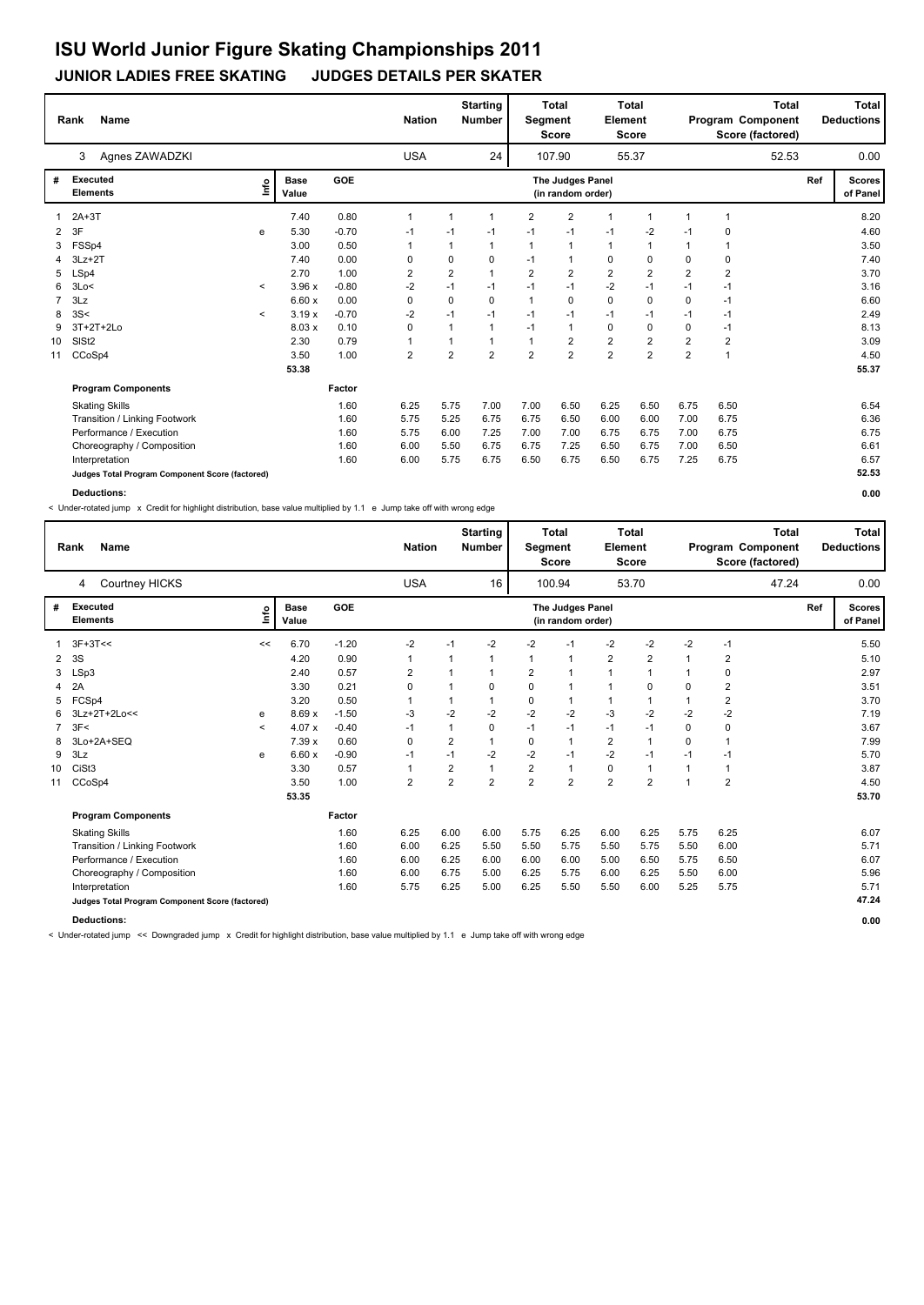#### **JUNIOR LADIES FREE SKATING JUDGES DETAILS PER SKATER**

|                | <b>Name</b><br>Rank                             |              |                      |         | <b>Nation</b> |                | <b>Starting</b><br><b>Number</b> | Segment        | <b>Total</b><br><b>Score</b>          | Element        | <b>Total</b><br><b>Score</b> |                |                | <b>Total</b><br>Program Component<br>Score (factored) |     | Total<br><b>Deductions</b> |
|----------------|-------------------------------------------------|--------------|----------------------|---------|---------------|----------------|----------------------------------|----------------|---------------------------------------|----------------|------------------------------|----------------|----------------|-------------------------------------------------------|-----|----------------------------|
|                | Agnes ZAWADZKI<br>3                             |              |                      |         | <b>USA</b>    |                | 24                               |                | 107.90                                |                | 55.37                        |                |                | 52.53                                                 |     | 0.00                       |
| #              | <b>Executed</b><br><b>Elements</b>              | ١nf٥         | <b>Base</b><br>Value | GOE     |               |                |                                  |                | The Judges Panel<br>(in random order) |                |                              |                |                |                                                       | Ref | <b>Scores</b><br>of Panel  |
|                | $2A+3T$                                         |              | 7.40                 | 0.80    | $\mathbf 1$   | 1              | -1                               | $\overline{2}$ | $\overline{2}$                        | 1              | $\mathbf 1$                  |                |                |                                                       |     | 8.20                       |
| $\overline{2}$ | 3F                                              | e            | 5.30                 | $-0.70$ | $-1$          | $-1$           | $-1$                             | $-1$           | $-1$                                  | $-1$           | $-2$                         | -1             | 0              |                                                       |     | 4.60                       |
| 3              | FSSp4                                           |              | 3.00                 | 0.50    |               | 1              | $\mathbf{1}$                     | 1              | $\mathbf 1$                           | $\mathbf{1}$   | $\mathbf 1$                  |                | 1              |                                                       |     | 3.50                       |
| 4              | $3Lz + 2T$                                      |              | 7.40                 | 0.00    | 0             | 0              | 0                                | $-1$           | $\mathbf{1}$                          | $\mathbf 0$    | 0                            | 0              | 0              |                                                       |     | 7.40                       |
| 5              | LSp4                                            |              | 2.70                 | 1.00    | 2             | $\overline{2}$ | $\mathbf{1}$                     | $\overline{2}$ | $\overline{2}$                        | $\overline{2}$ | $\overline{2}$               | $\overline{2}$ | $\overline{2}$ |                                                       |     | 3.70                       |
| 6              | 3Lo<                                            | $\prec$      | 3.96x                | $-0.80$ | $-2$          | $-1$           | $-1$                             | $-1$           | $-1$                                  | $-2$           | $-1$                         | $-1$           | $-1$           |                                                       |     | 3.16                       |
| $\overline{7}$ | 3Lz                                             |              | 6.60x                | 0.00    | 0             | 0              | $\Omega$                         | $\mathbf{1}$   | $\mathbf 0$                           | $\mathbf 0$    | $\Omega$                     | $\Omega$       | $-1$           |                                                       |     | 6.60                       |
| 8              | 3S<                                             | $\checkmark$ | 3.19x                | $-0.70$ | $-2$          | $-1$           | $-1$                             | $-1$           | $-1$                                  | $-1$           | $-1$                         | $-1$           | $-1$           |                                                       |     | 2.49                       |
| 9              | 3T+2T+2Lo                                       |              | 8.03x                | 0.10    | 0             | 1              | $\mathbf{1}$                     | $-1$           | $\overline{1}$                        | $\mathbf 0$    | $\mathbf 0$                  | 0              | $-1$           |                                                       |     | 8.13                       |
| 10             | SISt <sub>2</sub>                               |              | 2.30                 | 0.79    |               | 1              | $\mathbf{1}$                     | $\mathbf 1$    | $\overline{2}$                        | $\overline{2}$ | 2                            | $\overline{2}$ | 2              |                                                       |     | 3.09                       |
| 11             | CCoSp4                                          |              | 3.50                 | 1.00    | 2             | $\overline{2}$ | $\overline{2}$                   | $\overline{2}$ | $\overline{2}$                        | $\overline{2}$ | $\overline{2}$               | $\overline{2}$ | 1              |                                                       |     | 4.50                       |
|                |                                                 |              | 53.38                |         |               |                |                                  |                |                                       |                |                              |                |                |                                                       |     | 55.37                      |
|                | <b>Program Components</b>                       |              |                      | Factor  |               |                |                                  |                |                                       |                |                              |                |                |                                                       |     |                            |
|                | <b>Skating Skills</b>                           |              |                      | 1.60    | 6.25          | 5.75           | 7.00                             | 7.00           | 6.50                                  | 6.25           | 6.50                         | 6.75           | 6.50           |                                                       |     | 6.54                       |
|                | Transition / Linking Footwork                   |              |                      | 1.60    | 5.75          | 5.25           | 6.75                             | 6.75           | 6.50                                  | 6.00           | 6.00                         | 7.00           | 6.75           |                                                       |     | 6.36                       |
|                | Performance / Execution                         |              |                      | 1.60    | 5.75          | 6.00           | 7.25                             | 7.00           | 7.00                                  | 6.75           | 6.75                         | 7.00           | 6.75           |                                                       |     | 6.75                       |
|                | Choreography / Composition                      |              |                      | 1.60    | 6.00          | 5.50           | 6.75                             | 6.75           | 7.25                                  | 6.50           | 6.75                         | 7.00           | 6.50           |                                                       |     | 6.61                       |
|                | Interpretation                                  |              |                      | 1.60    | 6.00          | 5.75           | 6.75                             | 6.50           | 6.75                                  | 6.50           | 6.75                         | 7.25           | 6.75           |                                                       |     | 6.57                       |
|                | Judges Total Program Component Score (factored) |              |                      |         |               |                |                                  |                |                                       |                |                              |                |                |                                                       |     | 52.53                      |

**Deductions: 0.00**

< Under-rotated jump x Credit for highlight distribution, base value multiplied by 1.1 e Jump take off with wrong edge

|    | <b>Name</b><br>Rank                             |         |                      |            | <b>Nation</b>  |                | <b>Starting</b><br><b>Number</b> | Segment        | <b>Total</b><br><b>Score</b>          | Element        | <b>Total</b><br><b>Score</b> |                |                         | <b>Total</b><br>Program Component<br>Score (factored) |     | Total<br><b>Deductions</b> |
|----|-------------------------------------------------|---------|----------------------|------------|----------------|----------------|----------------------------------|----------------|---------------------------------------|----------------|------------------------------|----------------|-------------------------|-------------------------------------------------------|-----|----------------------------|
|    | Courtney HICKS<br>4                             |         |                      |            | <b>USA</b>     |                | 16                               |                | 100.94                                |                | 53.70                        |                |                         | 47.24                                                 |     | 0.00                       |
| #  | <b>Executed</b><br><b>Elements</b>              | Info    | <b>Base</b><br>Value | <b>GOE</b> |                |                |                                  |                | The Judges Panel<br>(in random order) |                |                              |                |                         |                                                       | Ref | <b>Scores</b><br>of Panel  |
|    | $3F+3T<<$                                       | <<      | 6.70                 | $-1.20$    | $-2$           | $-1$           | $-2$                             | $-2$           | $-1$                                  | $-2$           | $-2$                         | $-2$           | $-1$                    |                                                       |     | 5.50                       |
| 2  | 3S                                              |         | 4.20                 | 0.90       | 1              |                |                                  | 1              | $\mathbf{1}$                          | $\overline{2}$ | $\overline{\mathbf{c}}$      | $\mathbf{1}$   | 2                       |                                                       |     | 5.10                       |
| 3  | LSp3                                            |         | 2.40                 | 0.57       | 2              | 1              |                                  | 2              | $\mathbf{1}$                          | 1              | $\overline{1}$               | $\mathbf 1$    | 0                       |                                                       |     | 2.97                       |
| 4  | 2A                                              |         | 3.30                 | 0.21       | 0              | 1              | 0                                | 0              | $\mathbf{1}$                          |                | 0                            | $\Omega$       | $\overline{\mathbf{c}}$ |                                                       |     | 3.51                       |
| 5  | FCSp4                                           |         | 3.20                 | 0.50       | 1              | 1              |                                  | 0              | $\mathbf{1}$                          |                | 1                            | $\mathbf 1$    | $\overline{2}$          |                                                       |     | 3.70                       |
| 6  | $3Lz+2T+2L0<<$                                  | e       | 8.69x                | $-1.50$    | $-3$           | $-2$           | $-2$                             | $-2$           | $-2$                                  | $-3$           | $-2$                         | -2             | $-2$                    |                                                       |     | 7.19                       |
| 7  | 3F<                                             | $\prec$ | 4.07 x               | $-0.40$    | $-1$           | 1              | 0                                | $-1$           | $-1$                                  | $-1$           | $-1$                         | 0              | 0                       |                                                       |     | 3.67                       |
| 8  | 3Lo+2A+SEQ                                      |         | 7.39x                | 0.60       | 0              | 2              | 1                                | 0              | $\mathbf{1}$                          | $\overline{2}$ | $\overline{1}$               | 0              | $\mathbf 1$             |                                                       |     | 7.99                       |
| 9  | 3Lz                                             | e       | 6.60x                | $-0.90$    | $-1$           | $-1$           | $-2$                             | -2             | $-1$                                  | $-2$           | $-1$                         | $-1$           | $-1$                    |                                                       |     | 5.70                       |
| 10 | CiSt <sub>3</sub>                               |         | 3.30                 | 0.57       | 1              | 2              | $\mathbf{1}$                     | 2              | $\mathbf{1}$                          | 0              | $\overline{1}$               | $\mathbf 1$    | $\overline{1}$          |                                                       |     | 3.87                       |
| 11 | CCoSp4                                          |         | 3.50                 | 1.00       | $\overline{2}$ | $\overline{2}$ | $\overline{2}$                   | $\overline{2}$ | $\overline{2}$                        | $\overline{2}$ | $\overline{2}$               | $\overline{1}$ | $\overline{2}$          |                                                       |     | 4.50                       |
|    |                                                 |         | 53.35                |            |                |                |                                  |                |                                       |                |                              |                |                         |                                                       |     | 53.70                      |
|    | <b>Program Components</b>                       |         |                      | Factor     |                |                |                                  |                |                                       |                |                              |                |                         |                                                       |     |                            |
|    | <b>Skating Skills</b>                           |         |                      | 1.60       | 6.25           | 6.00           | 6.00                             | 5.75           | 6.25                                  | 6.00           | 6.25                         | 5.75           | 6.25                    |                                                       |     | 6.07                       |
|    | Transition / Linking Footwork                   |         |                      | 1.60       | 6.00           | 6.25           | 5.50                             | 5.50           | 5.75                                  | 5.50           | 5.75                         | 5.50           | 6.00                    |                                                       |     | 5.71                       |
|    | Performance / Execution                         |         |                      | 1.60       | 6.00           | 6.25           | 6.00                             | 6.00           | 6.00                                  | 5.00           | 6.50                         | 5.75           | 6.50                    |                                                       |     | 6.07                       |
|    | Choreography / Composition                      |         |                      | 1.60       | 6.00           | 6.75           | 5.00                             | 6.25           | 5.75                                  | 6.00           | 6.25                         | 5.50           | 6.00                    |                                                       |     | 5.96                       |
|    | Interpretation                                  |         |                      | 1.60       | 5.75           | 6.25           | 5.00                             | 6.25           | 5.50                                  | 5.50           | 6.00                         | 5.25           | 5.75                    |                                                       |     | 5.71                       |
|    | Judges Total Program Component Score (factored) |         |                      |            |                |                |                                  |                |                                       |                |                              |                |                         |                                                       |     | 47.24                      |
|    | <b>Deductions:</b>                              |         |                      |            |                |                |                                  |                |                                       |                |                              |                |                         |                                                       |     | 0.00                       |

< Under-rotated jump << Downgraded jump x Credit for highlight distribution, base value multiplied by 1.1 e Jump take off with wrong edge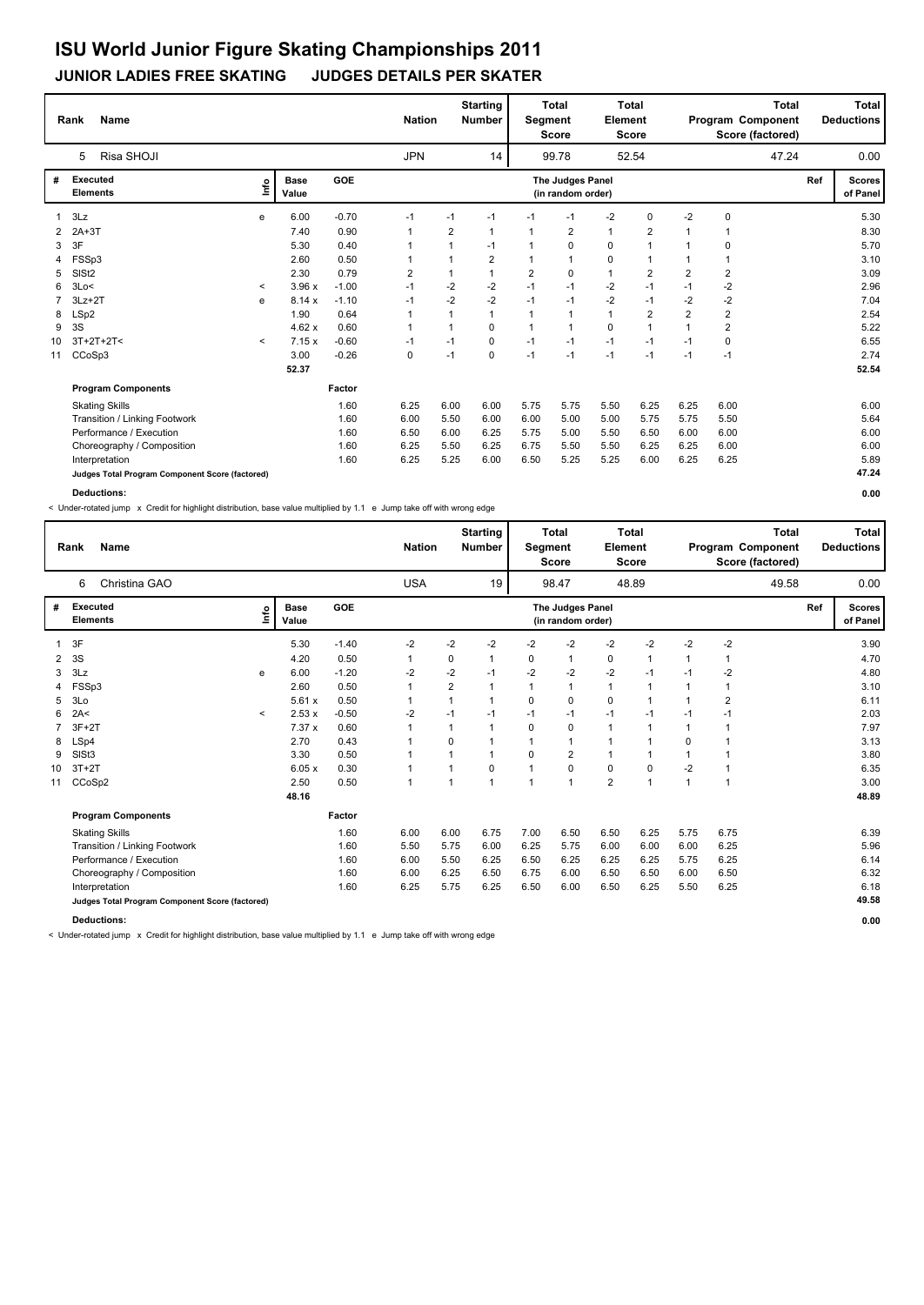#### **JUNIOR LADIES FREE SKATING JUDGES DETAILS PER SKATER**

|              | <b>Name</b><br>Rank                             |         |               |         | <b>Nation</b> |      | <b>Starting</b><br><b>Number</b> | Segment        | <b>Total</b><br><b>Score</b>          | Element      | <b>Total</b><br><b>Score</b> |                |                | <b>Total</b><br>Program Component<br>Score (factored) |     | Total<br><b>Deductions</b> |
|--------------|-------------------------------------------------|---------|---------------|---------|---------------|------|----------------------------------|----------------|---------------------------------------|--------------|------------------------------|----------------|----------------|-------------------------------------------------------|-----|----------------------------|
|              | Risa SHOJI<br>5                                 |         |               |         | <b>JPN</b>    |      | 14                               |                | 99.78                                 |              | 52.54                        |                |                | 47.24                                                 |     | 0.00                       |
| #            | <b>Executed</b><br><b>Elements</b>              | ١nf٥    | Base<br>Value | GOE     |               |      |                                  |                | The Judges Panel<br>(in random order) |              |                              |                |                |                                                       | Ref | <b>Scores</b><br>of Panel  |
| $\mathbf{1}$ | 3Lz                                             | e       | 6.00          | $-0.70$ | $-1$          | $-1$ | $-1$                             | $-1$           | $-1$                                  | $-2$         | 0                            | $-2$           | 0              |                                                       |     | 5.30                       |
| 2            | $2A+3T$                                         |         | 7.40          | 0.90    |               | 2    | $\mathbf{1}$                     | 1              | $\overline{2}$                        | $\mathbf{1}$ | 2                            |                |                |                                                       |     | 8.30                       |
| 3            | 3F                                              |         | 5.30          | 0.40    |               | 1    | $-1$                             |                | 0                                     | 0            | $\mathbf{1}$                 |                | 0              |                                                       |     | 5.70                       |
| 4            | FSSp3                                           |         | 2.60          | 0.50    |               | 1    | $\overline{2}$                   | $\overline{1}$ | $\overline{1}$                        | 0            | $\mathbf{1}$                 |                | 1              |                                                       |     | 3.10                       |
| 5            | SIS <sub>t2</sub>                               |         | 2.30          | 0.79    | 2             | 1    | $\mathbf{1}$                     | $\overline{2}$ | 0                                     | $\mathbf{1}$ | $\overline{2}$               | $\overline{2}$ | $\overline{2}$ |                                                       |     | 3.09                       |
| 6            | 3Lo<                                            | $\prec$ | 3.96x         | $-1.00$ | $-1$          | $-2$ | $-2$                             | $-1$           | $-1$                                  | $-2$         | $-1$                         | $-1$           | $-2$           |                                                       |     | 2.96                       |
|              | $3Lz + 2T$                                      | e       | 8.14x         | $-1.10$ | $-1$          | $-2$ | $-2$                             | $-1$           | $-1$                                  | $-2$         | $-1$                         | $-2$           | $-2$           |                                                       |     | 7.04                       |
| 8            | LSp2                                            |         | 1.90          | 0.64    |               | 1    | $\mathbf{1}$                     | $\mathbf 1$    | $\overline{1}$                        | $\mathbf{1}$ | $\overline{2}$               | $\overline{2}$ | $\overline{2}$ |                                                       |     | 2.54                       |
| 9            | 3S                                              |         | 4.62x         | 0.60    |               | 1    | 0                                | 1              | $\overline{1}$                        | $\mathbf 0$  | $\mathbf{1}$                 |                | $\overline{2}$ |                                                       |     | 5.22                       |
| 10           | $3T+2T+2T<$                                     | $\prec$ | 7.15x         | $-0.60$ | $-1$          | $-1$ | 0                                | $-1$           | $-1$                                  | $-1$         | $-1$                         | $-1$           | 0              |                                                       |     | 6.55                       |
| 11           | CCoSp3                                          |         | 3.00          | $-0.26$ | 0             | $-1$ | 0                                | $-1$           | $-1$                                  | $-1$         | $-1$                         | $-1$           | $-1$           |                                                       |     | 2.74                       |
|              |                                                 |         | 52.37         |         |               |      |                                  |                |                                       |              |                              |                |                |                                                       |     | 52.54                      |
|              | <b>Program Components</b>                       |         |               | Factor  |               |      |                                  |                |                                       |              |                              |                |                |                                                       |     |                            |
|              | <b>Skating Skills</b>                           |         |               | 1.60    | 6.25          | 6.00 | 6.00                             | 5.75           | 5.75                                  | 5.50         | 6.25                         | 6.25           | 6.00           |                                                       |     | 6.00                       |
|              | Transition / Linking Footwork                   |         |               | 1.60    | 6.00          | 5.50 | 6.00                             | 6.00           | 5.00                                  | 5.00         | 5.75                         | 5.75           | 5.50           |                                                       |     | 5.64                       |
|              | Performance / Execution                         |         |               | 1.60    | 6.50          | 6.00 | 6.25                             | 5.75           | 5.00                                  | 5.50         | 6.50                         | 6.00           | 6.00           |                                                       |     | 6.00                       |
|              | Choreography / Composition                      |         |               | 1.60    | 6.25          | 5.50 | 6.25                             | 6.75           | 5.50                                  | 5.50         | 6.25                         | 6.25           | 6.00           |                                                       |     | 6.00                       |
|              | Interpretation                                  |         |               | 1.60    | 6.25          | 5.25 | 6.00                             | 6.50           | 5.25                                  | 5.25         | 6.00                         | 6.25           | 6.25           |                                                       |     | 5.89                       |
|              | Judges Total Program Component Score (factored) |         |               |         |               |      |                                  |                |                                       |              |                              |                |                |                                                       |     | 47.24                      |

**Deductions: 0.00**

< Under-rotated jump x Credit for highlight distribution, base value multiplied by 1.1 e Jump take off with wrong edge

|    | <b>Name</b><br>Rank                             |                          |                      |            | <b>Nation</b> |                | <b>Starting</b><br><b>Number</b> | Segment      | <b>Total</b><br><b>Score</b>          | Element      | <b>Total</b><br><b>Score</b> |              |                | <b>Total</b><br>Program Component<br>Score (factored) |     | Total<br><b>Deductions</b> |
|----|-------------------------------------------------|--------------------------|----------------------|------------|---------------|----------------|----------------------------------|--------------|---------------------------------------|--------------|------------------------------|--------------|----------------|-------------------------------------------------------|-----|----------------------------|
|    | Christina GAO<br>6                              |                          |                      |            | <b>USA</b>    |                | 19                               |              | 98.47                                 |              | 48.89                        |              |                | 49.58                                                 |     | 0.00                       |
| #  | <b>Executed</b><br><b>Elements</b>              | Info                     | <b>Base</b><br>Value | <b>GOE</b> |               |                |                                  |              | The Judges Panel<br>(in random order) |              |                              |              |                |                                                       | Ref | <b>Scores</b><br>of Panel  |
|    | 3F                                              |                          | 5.30                 | $-1.40$    | $-2$          | $-2$           | $-2$                             | $-2$         | $-2$                                  | $-2$         | $-2$                         | $-2$         | $-2$           |                                                       |     | 3.90                       |
| 2  | 3S                                              |                          | 4.20                 | 0.50       | $\mathbf{1}$  | 0              |                                  | 0            | $\mathbf{1}$                          | 0            | 1                            | 1            |                |                                                       |     | 4.70                       |
| 3  | 3Lz                                             | e                        | 6.00                 | $-1.20$    | $-2$          | $-2$           | $-1$                             | $-2$         | $-2$                                  | $-2$         | -1                           | $-1$         | $-2$           |                                                       |     | 4.80                       |
|    | FSSp3                                           |                          | 2.60                 | 0.50       | $\mathbf{1}$  | $\overline{2}$ |                                  |              | $\mathbf{1}$                          | $\mathbf{1}$ | 1                            |              |                |                                                       |     | 3.10                       |
| 5  | 3Lo                                             |                          | 5.61x                | 0.50       | 1             | 1              |                                  | 0            | $\mathbf 0$                           | $\mathbf 0$  | 1                            |              | $\overline{2}$ |                                                       |     | 6.11                       |
| 6  | 2A<                                             | $\overline{\phantom{a}}$ | 2.53x                | $-0.50$    | $-2$          | $-1$           | $-1$                             | $-1$         | $-1$                                  | $-1$         | $-1$                         | $-1$         | $-1$           |                                                       |     | 2.03                       |
|    | $3F+2T$                                         |                          | 7.37 x               | 0.60       | 1             | 1              |                                  | 0            | 0                                     | 1            | 1                            | 1            |                |                                                       |     | 7.97                       |
| 8  | LSp4                                            |                          | 2.70                 | 0.43       | 1             | 0              |                                  |              | $\mathbf{1}$                          | $\mathbf{1}$ | 1                            | 0            |                |                                                       |     | 3.13                       |
| 9  | SIS <sub>t3</sub>                               |                          | 3.30                 | 0.50       | 1             | 1              | 1                                | 0            | $\overline{2}$                        | $\mathbf{1}$ | 1                            | $\mathbf{1}$ |                |                                                       |     | 3.80                       |
| 10 | $3T+2T$                                         |                          | 6.05x                | 0.30       | 1             | 1              | 0                                | $\mathbf{1}$ | 0                                     | $\pmb{0}$    | 0                            | $-2$         |                |                                                       |     | 6.35                       |
| 11 | CCoSp2                                          |                          | 2.50                 | 0.50       | 1             | 1              | 1                                | $\mathbf{1}$ | $\mathbf{1}$                          | 2            | $\overline{1}$               | $\mathbf{1}$ | $\overline{1}$ |                                                       |     | 3.00                       |
|    |                                                 |                          | 48.16                |            |               |                |                                  |              |                                       |              |                              |              |                |                                                       |     | 48.89                      |
|    | <b>Program Components</b>                       |                          |                      | Factor     |               |                |                                  |              |                                       |              |                              |              |                |                                                       |     |                            |
|    | <b>Skating Skills</b>                           |                          |                      | 1.60       | 6.00          | 6.00           | 6.75                             | 7.00         | 6.50                                  | 6.50         | 6.25                         | 5.75         | 6.75           |                                                       |     | 6.39                       |
|    | Transition / Linking Footwork                   |                          |                      | 1.60       | 5.50          | 5.75           | 6.00                             | 6.25         | 5.75                                  | 6.00         | 6.00                         | 6.00         | 6.25           |                                                       |     | 5.96                       |
|    | Performance / Execution                         |                          |                      | 1.60       | 6.00          | 5.50           | 6.25                             | 6.50         | 6.25                                  | 6.25         | 6.25                         | 5.75         | 6.25           |                                                       |     | 6.14                       |
|    | Choreography / Composition                      |                          |                      | 1.60       | 6.00          | 6.25           | 6.50                             | 6.75         | 6.00                                  | 6.50         | 6.50                         | 6.00         | 6.50           |                                                       |     | 6.32                       |
|    | Interpretation                                  |                          |                      | 1.60       | 6.25          | 5.75           | 6.25                             | 6.50         | 6.00                                  | 6.50         | 6.25                         | 5.50         | 6.25           |                                                       |     | 6.18                       |
|    | Judges Total Program Component Score (factored) |                          |                      |            |               |                |                                  |              |                                       |              |                              |              |                |                                                       |     | 49.58                      |
|    | <b>Deductions:</b>                              |                          |                      |            |               |                |                                  |              |                                       |              |                              |              |                |                                                       |     | 0.00                       |

< Under-rotated jump x Credit for highlight distribution, base value multiplied by 1.1 e Jump take off with wrong edge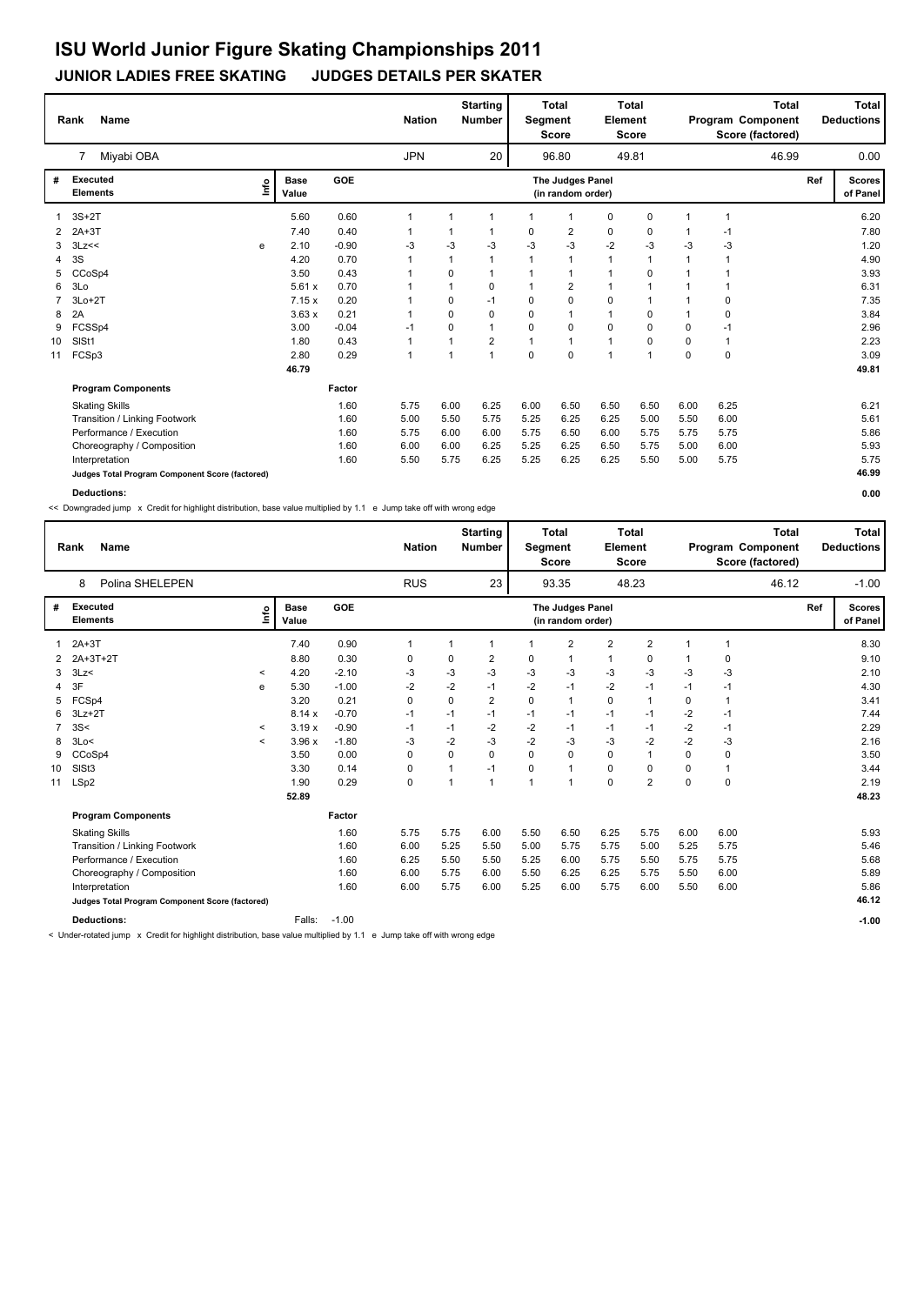#### **JUNIOR LADIES FREE SKATING JUDGES DETAILS PER SKATER**

|    | <b>Name</b><br>Rank                             |      |               |         | <b>Nation</b> |      | <b>Starting</b><br><b>Number</b> | Segment     | <b>Total</b><br><b>Score</b>          | Element      | <b>Total</b><br><b>Score</b> |          |          | <b>Total</b><br>Program Component<br>Score (factored) |     | Total<br><b>Deductions</b> |
|----|-------------------------------------------------|------|---------------|---------|---------------|------|----------------------------------|-------------|---------------------------------------|--------------|------------------------------|----------|----------|-------------------------------------------------------|-----|----------------------------|
|    | Miyabi OBA<br>7                                 |      |               |         | <b>JPN</b>    |      | 20                               |             | 96.80                                 |              | 49.81                        |          |          | 46.99                                                 |     | 0.00                       |
| #  | <b>Executed</b><br><b>Elements</b>              | ١nf٥ | Base<br>Value | GOE     |               |      |                                  |             | The Judges Panel<br>(in random order) |              |                              |          |          |                                                       | Ref | <b>Scores</b><br>of Panel  |
|    | $3S+2T$                                         |      | 5.60          | 0.60    |               |      | -1                               |             | -1                                    | 0            | 0                            |          |          |                                                       |     | 6.20                       |
| 2  | $2A+3T$                                         |      | 7.40          | 0.40    |               | 1    | $\mathbf 1$                      | 0           | 2                                     | 0            | 0                            |          | $-1$     |                                                       |     | 7.80                       |
| 3  | 3Lz<<                                           | e    | 2.10          | $-0.90$ | -3            | $-3$ | -3                               | -3          | -3                                    | $-2$         | -3                           | -3       | -3       |                                                       |     | 1.20                       |
| 4  | 3S                                              |      | 4.20          | 0.70    |               | 1    | $\mathbf{1}$                     | 1           | $\mathbf{1}$                          | $\mathbf{1}$ | $\mathbf{1}$                 |          | 1        |                                                       |     | 4.90                       |
| 5  | CCoSp4                                          |      | 3.50          | 0.43    |               | 0    | -1                               |             | 1                                     | 1            | $\Omega$                     |          |          |                                                       |     | 3.93                       |
| 6  | 3Lo                                             |      | 5.61x         | 0.70    |               | 1    | 0                                |             | $\overline{2}$                        | 1            | 1                            |          |          |                                                       |     | 6.31                       |
|    | $3Lo+2T$                                        |      | 7.15x         | 0.20    |               | 0    | $-1$                             | $\Omega$    | $\mathbf 0$                           | $\Omega$     | 1                            |          | 0        |                                                       |     | 7.35                       |
| 8  | 2A                                              |      | 3.63x         | 0.21    |               | 0    | $\Omega$                         | $\Omega$    | $\overline{1}$                        | 1            | 0                            |          | $\Omega$ |                                                       |     | 3.84                       |
| 9  | FCSSp4                                          |      | 3.00          | $-0.04$ | $-1$          | 0    | $\overline{1}$                   | 0           | $\mathbf 0$                           | $\mathbf 0$  | 0                            | $\Omega$ | $-1$     |                                                       |     | 2.96                       |
| 10 | SISt1                                           |      | 1.80          | 0.43    |               |      | $\overline{2}$                   |             |                                       | 1            | 0                            | $\Omega$ | 1        |                                                       |     | 2.23                       |
| 11 | FCSp3                                           |      | 2.80          | 0.29    |               | 1    | $\mathbf{1}$                     | $\mathbf 0$ | $\mathbf 0$                           | 1            | 1                            | 0        | 0        |                                                       |     | 3.09                       |
|    |                                                 |      | 46.79         |         |               |      |                                  |             |                                       |              |                              |          |          |                                                       |     | 49.81                      |
|    | <b>Program Components</b>                       |      |               | Factor  |               |      |                                  |             |                                       |              |                              |          |          |                                                       |     |                            |
|    | <b>Skating Skills</b>                           |      |               | 1.60    | 5.75          | 6.00 | 6.25                             | 6.00        | 6.50                                  | 6.50         | 6.50                         | 6.00     | 6.25     |                                                       |     | 6.21                       |
|    | Transition / Linking Footwork                   |      |               | 1.60    | 5.00          | 5.50 | 5.75                             | 5.25        | 6.25                                  | 6.25         | 5.00                         | 5.50     | 6.00     |                                                       |     | 5.61                       |
|    | Performance / Execution                         |      |               | 1.60    | 5.75          | 6.00 | 6.00                             | 5.75        | 6.50                                  | 6.00         | 5.75                         | 5.75     | 5.75     |                                                       |     | 5.86                       |
|    | Choreography / Composition                      |      |               | 1.60    | 6.00          | 6.00 | 6.25                             | 5.25        | 6.25                                  | 6.50         | 5.75                         | 5.00     | 6.00     |                                                       |     | 5.93                       |
|    | Interpretation                                  |      |               | 1.60    | 5.50          | 5.75 | 6.25                             | 5.25        | 6.25                                  | 6.25         | 5.50                         | 5.00     | 5.75     |                                                       |     | 5.75                       |
|    | Judges Total Program Component Score (factored) |      |               |         |               |      |                                  |             |                                       |              |                              |          |          |                                                       |     | 46.99                      |

**Deductions: 0.00**

<< Downgraded jump x Credit for highlight distribution, base value multiplied by 1.1 e Jump take off with wrong edge

|                 | <b>Name</b><br>Rank                             |                          |                      |            | <b>Nation</b> |      | <b>Starting</b><br><b>Number</b> | <b>Segment</b> | <b>Total</b><br><b>Score</b>          | Element        | <b>Total</b><br>Score   |             |                | <b>Total</b><br>Program Component<br>Score (factored) |     | Total<br><b>Deductions</b> |
|-----------------|-------------------------------------------------|--------------------------|----------------------|------------|---------------|------|----------------------------------|----------------|---------------------------------------|----------------|-------------------------|-------------|----------------|-------------------------------------------------------|-----|----------------------------|
|                 | Polina SHELEPEN<br>8                            |                          |                      |            | <b>RUS</b>    |      | 23                               |                | 93.35                                 |                | 48.23                   |             |                | 46.12                                                 |     | $-1.00$                    |
| #               | <b>Executed</b><br><b>Elements</b>              | ۴٥                       | <b>Base</b><br>Value | <b>GOE</b> |               |      |                                  |                | The Judges Panel<br>(in random order) |                |                         |             |                |                                                       | Ref | <b>Scores</b><br>of Panel  |
| 1               | $2A+3T$                                         |                          | 7.40                 | 0.90       | 1             | 1    | 1                                | 1              | $\overline{2}$                        | $\overline{2}$ | $\overline{2}$          | 1           | $\overline{1}$ |                                                       |     | 8.30                       |
|                 | 2A+3T+2T                                        |                          | 8.80                 | 0.30       | 0             | 0    | 2                                | 0              | $\mathbf 1$                           | 1              | 0                       |             | 0              |                                                       |     | 9.10                       |
| 3               | 3Lz                                             | $\overline{\phantom{a}}$ | 4.20                 | $-2.10$    | $-3$          | -3   | $-3$                             | -3             | $-3$                                  | $-3$           | -3                      | -3          | -3             |                                                       |     | 2.10                       |
| 4               | 3F<br>e                                         |                          | 5.30                 | $-1.00$    | $-2$          | $-2$ | $-1$                             | $-2$           | $-1$                                  | $-2$           | $-1$                    | $-1$        | $-1$           |                                                       |     | 4.30                       |
| 5               | FCSp4                                           |                          | 3.20                 | 0.21       | 0             | 0    | 2                                | 0              | $\mathbf{1}$                          | 0              | $\overline{1}$          | 0           | $\overline{1}$ |                                                       |     | 3.41                       |
| 6               | $3Lz + 2T$                                      |                          | 8.14x                | $-0.70$    | $-1$          | $-1$ | $-1$                             | $-1$           | $-1$                                  | $-1$           | $-1$                    | $-2$        | $-1$           |                                                       |     | 7.44                       |
| 7               | 3S<                                             | $\overline{\phantom{a}}$ | 3.19x                | $-0.90$    | $-1$          | $-1$ | $-2$                             | $-2$           | $-1$                                  | $-1$           | $-1$                    | $-2$        | $-1$           |                                                       |     | 2.29                       |
| 8               | 3Lo<                                            | $\,<\,$                  | 3.96x                | $-1.80$    | $-3$          | $-2$ | $-3$                             | $-2$           | $-3$                                  | $-3$           | $-2$                    | $-2$        | -3             |                                                       |     | 2.16                       |
| 9               | CCoSp4                                          |                          | 3.50                 | 0.00       | 0             | 0    | 0                                | 0              | $\mathbf 0$                           | $\pmb{0}$      | $\overline{1}$          | 0           | 0              |                                                       |     | 3.50                       |
| 10 <sup>°</sup> | SIS <sub>t3</sub>                               |                          | 3.30                 | 0.14       | 0             | 1    | $-1$                             | 0              | $\mathbf{1}$                          | $\mathbf 0$    | $\Omega$                | $\Omega$    |                |                                                       |     | 3.44                       |
| 11              | LSp2                                            |                          | 1.90                 | 0.29       | 0             | 1    | 1                                | 1              | $\mathbf{1}$                          | $\pmb{0}$      | $\overline{\mathbf{c}}$ | $\mathbf 0$ | 0              |                                                       |     | 2.19                       |
|                 |                                                 |                          | 52.89                |            |               |      |                                  |                |                                       |                |                         |             |                |                                                       |     | 48.23                      |
|                 | <b>Program Components</b>                       |                          |                      | Factor     |               |      |                                  |                |                                       |                |                         |             |                |                                                       |     |                            |
|                 | <b>Skating Skills</b>                           |                          |                      | 1.60       | 5.75          | 5.75 | 6.00                             | 5.50           | 6.50                                  | 6.25           | 5.75                    | 6.00        | 6.00           |                                                       |     | 5.93                       |
|                 | Transition / Linking Footwork                   |                          |                      | 1.60       | 6.00          | 5.25 | 5.50                             | 5.00           | 5.75                                  | 5.75           | 5.00                    | 5.25        | 5.75           |                                                       |     | 5.46                       |
|                 | Performance / Execution                         |                          |                      | 1.60       | 6.25          | 5.50 | 5.50                             | 5.25           | 6.00                                  | 5.75           | 5.50                    | 5.75        | 5.75           |                                                       |     | 5.68                       |
|                 | Choreography / Composition                      |                          |                      | 1.60       | 6.00          | 5.75 | 6.00                             | 5.50           | 6.25                                  | 6.25           | 5.75                    | 5.50        | 6.00           |                                                       |     | 5.89                       |
|                 | Interpretation                                  |                          |                      | 1.60       | 6.00          | 5.75 | 6.00                             | 5.25           | 6.00                                  | 5.75           | 6.00                    | 5.50        | 6.00           |                                                       |     | 5.86                       |
|                 | Judges Total Program Component Score (factored) |                          |                      |            |               |      |                                  |                |                                       |                |                         |             |                |                                                       |     | 46.12                      |
|                 | <b>Deductions:</b>                              |                          | Falls:               | $-1.00$    |               |      |                                  |                |                                       |                |                         |             |                |                                                       |     | $-1.00$                    |

< Under-rotated jump x Credit for highlight distribution, base value multiplied by 1.1 e Jump take off with wrong edge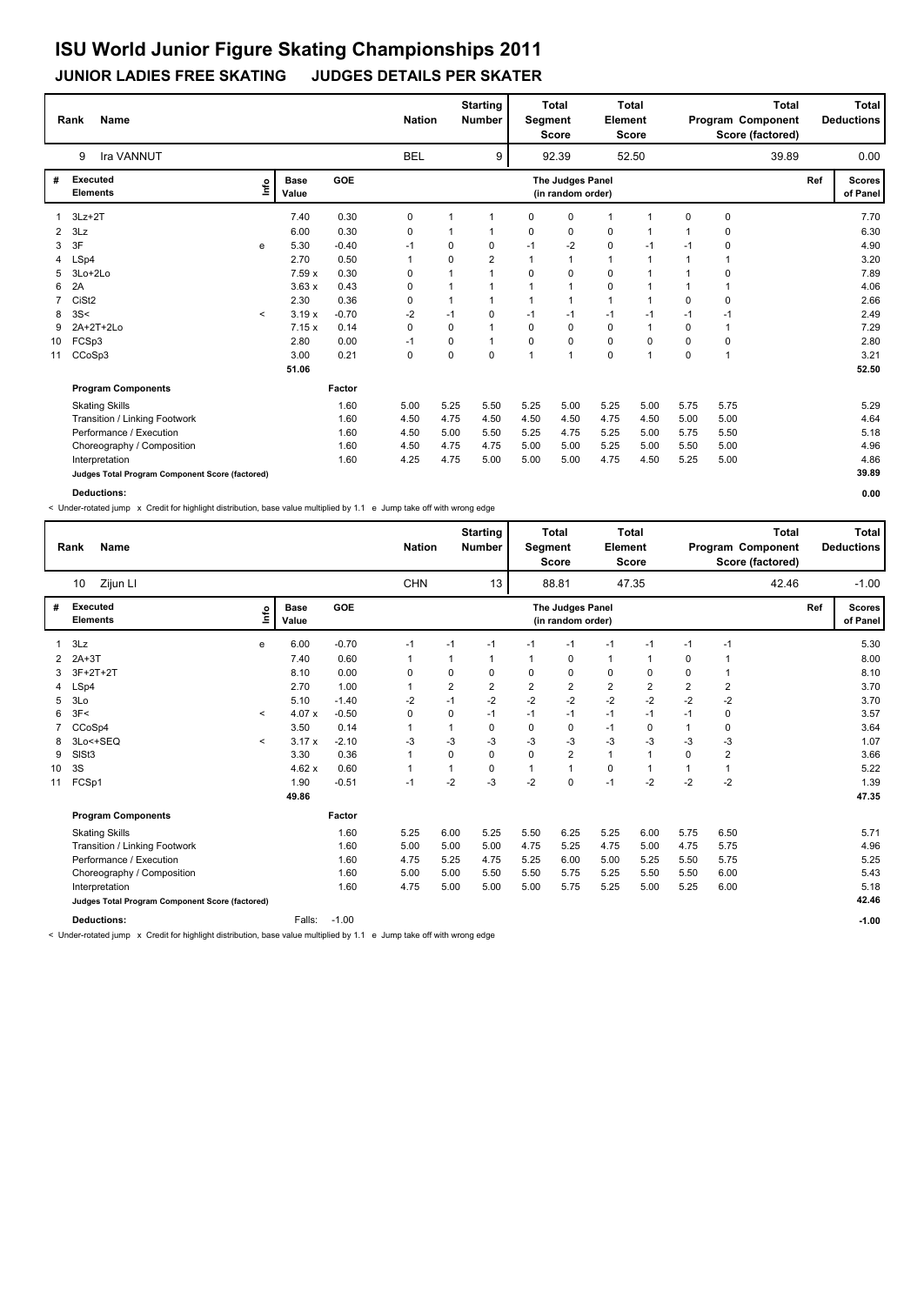#### **JUNIOR LADIES FREE SKATING JUDGES DETAILS PER SKATER**

|                | <b>Name</b><br>Rank                             |         |                      |         | <b>Nation</b> |      | <b>Starting</b><br><b>Number</b> | Segment      | <b>Total</b><br><b>Score</b>          | <b>Element</b> | <b>Total</b><br><b>Score</b> |          |          | <b>Total</b><br>Program Component<br>Score (factored) |     | Total<br><b>Deductions</b> |
|----------------|-------------------------------------------------|---------|----------------------|---------|---------------|------|----------------------------------|--------------|---------------------------------------|----------------|------------------------------|----------|----------|-------------------------------------------------------|-----|----------------------------|
|                | Ira VANNUT<br>9                                 |         |                      |         | <b>BEL</b>    |      | 9                                |              | 92.39                                 |                | 52.50                        |          |          | 39.89                                                 |     | 0.00                       |
| #              | <b>Executed</b><br><b>Elements</b>              | ١nf٥    | <b>Base</b><br>Value | GOE     |               |      |                                  |              | The Judges Panel<br>(in random order) |                |                              |          |          |                                                       | Ref | <b>Scores</b><br>of Panel  |
|                | $3Lz + 2T$                                      |         | 7.40                 | 0.30    | 0             |      | -1                               | 0            | $\mathbf 0$                           | 1              | 1                            | 0        | 0        |                                                       |     | 7.70                       |
| $\overline{2}$ | 3Lz                                             |         | 6.00                 | 0.30    | 0             |      | -1                               | 0            | 0                                     | 0              | 1                            |          | 0        |                                                       |     | 6.30                       |
| 3              | 3F                                              | e       | 5.30                 | $-0.40$ | $-1$          | 0    | 0                                | $-1$         | $-2$                                  | 0              | -1                           | $-1$     | 0        |                                                       |     | 4.90                       |
| 4              | LSp4                                            |         | 2.70                 | 0.50    | 1             | 0    | $\overline{2}$                   | $\mathbf{1}$ | $\mathbf{1}$                          | $\mathbf{1}$   | $\mathbf{1}$                 |          | 1        |                                                       |     | 3.20                       |
| 5              | 3Lo+2Lo                                         |         | 7.59x                | 0.30    | 0             |      |                                  | $\Omega$     | $\mathbf 0$                           | 0              | $\overline{1}$               |          | $\Omega$ |                                                       |     | 7.89                       |
| 6              | 2A                                              |         | 3.63x                | 0.43    | 0             |      |                                  |              | $\overline{1}$                        | $\mathbf 0$    | 1                            |          |          |                                                       |     | 4.06                       |
| $\overline{7}$ | CiSt <sub>2</sub>                               |         | 2.30                 | 0.36    | 0             |      | $\overline{1}$                   |              |                                       | 1              | 1                            | $\Omega$ | 0        |                                                       |     | 2.66                       |
| 8              | 3S<                                             | $\,<\,$ | 3.19x                | $-0.70$ | -2            | $-1$ | $\Omega$                         | $-1$         | $-1$                                  | $-1$           | -1                           | $-1$     | $-1$     |                                                       |     | 2.49                       |
| 9              | 2A+2T+2Lo                                       |         | 7.15x                | 0.14    | 0             | 0    | $\overline{1}$                   | 0            | 0                                     | 0              | 1                            | 0        | 1        |                                                       |     | 7.29                       |
| 10             | FCSp3                                           |         | 2.80                 | 0.00    | $-1$          | 0    |                                  | $\Omega$     | 0                                     | $\mathbf 0$    | 0                            | $\Omega$ | 0        |                                                       |     | 2.80                       |
| 11             | CCoSp3                                          |         | 3.00                 | 0.21    | 0             | 0    | $\mathbf 0$                      |              | $\overline{1}$                        | $\mathbf 0$    | 1                            | 0        | 1        |                                                       |     | 3.21                       |
|                |                                                 |         | 51.06                |         |               |      |                                  |              |                                       |                |                              |          |          |                                                       |     | 52.50                      |
|                | <b>Program Components</b>                       |         |                      | Factor  |               |      |                                  |              |                                       |                |                              |          |          |                                                       |     |                            |
|                | <b>Skating Skills</b>                           |         |                      | 1.60    | 5.00          | 5.25 | 5.50                             | 5.25         | 5.00                                  | 5.25           | 5.00                         | 5.75     | 5.75     |                                                       |     | 5.29                       |
|                | Transition / Linking Footwork                   |         |                      | 1.60    | 4.50          | 4.75 | 4.50                             | 4.50         | 4.50                                  | 4.75           | 4.50                         | 5.00     | 5.00     |                                                       |     | 4.64                       |
|                | Performance / Execution                         |         |                      | 1.60    | 4.50          | 5.00 | 5.50                             | 5.25         | 4.75                                  | 5.25           | 5.00                         | 5.75     | 5.50     |                                                       |     | 5.18                       |
|                | Choreography / Composition                      |         |                      | 1.60    | 4.50          | 4.75 | 4.75                             | 5.00         | 5.00                                  | 5.25           | 5.00                         | 5.50     | 5.00     |                                                       |     | 4.96                       |
|                | Interpretation                                  |         |                      | 1.60    | 4.25          | 4.75 | 5.00                             | 5.00         | 5.00                                  | 4.75           | 4.50                         | 5.25     | 5.00     |                                                       |     | 4.86                       |
|                | Judges Total Program Component Score (factored) |         |                      |         |               |      |                                  |              |                                       |                |                              |          |          |                                                       |     | 39.89                      |

**Deductions: 0.00**

< Under-rotated jump x Credit for highlight distribution, base value multiplied by 1.1 e Jump take off with wrong edge

|                | <b>Name</b><br>Rank                             |             |                      |            | <b>Nation</b> |      | <b>Starting</b><br><b>Number</b> | <b>Segment</b> | <b>Total</b><br><b>Score</b>          | Element        | <b>Total</b><br><b>Score</b> |      |                | <b>Total</b><br>Program Component<br>Score (factored) |     | Total<br><b>Deductions</b> |
|----------------|-------------------------------------------------|-------------|----------------------|------------|---------------|------|----------------------------------|----------------|---------------------------------------|----------------|------------------------------|------|----------------|-------------------------------------------------------|-----|----------------------------|
|                | Zijun LI<br>10                                  |             |                      |            | <b>CHN</b>    |      | 13                               |                | 88.81                                 |                | 47.35                        |      |                | 42.46                                                 |     | $-1.00$                    |
| #              | <b>Executed</b><br><b>Elements</b>              | <u>info</u> | <b>Base</b><br>Value | <b>GOE</b> |               |      |                                  |                | The Judges Panel<br>(in random order) |                |                              |      |                |                                                       | Ref | <b>Scores</b><br>of Panel  |
| $\overline{1}$ | 3Lz                                             | e           | 6.00                 | $-0.70$    | $-1$          | $-1$ | $-1$                             | $-1$           | $-1$                                  | $-1$           | $-1$                         | $-1$ | $-1$           |                                                       |     | 5.30                       |
| 2              | $2A+3T$                                         |             | 7.40                 | 0.60       | $\mathbf 1$   |      | 1                                | 1              | 0                                     | $\mathbf{1}$   | 1                            | 0    | $\mathbf 1$    |                                                       |     | 8.00                       |
| 3              | 3F+2T+2T                                        |             | 8.10                 | 0.00       | 0             | 0    | 0                                | 0              | 0                                     | 0              | 0                            | 0    | $\overline{1}$ |                                                       |     | 8.10                       |
| 4              | LSp4                                            |             | 2.70                 | 1.00       | $\mathbf{1}$  | 2    | 2                                | $\overline{2}$ | 2                                     | $\overline{2}$ | $\overline{2}$               | 2    | 2              |                                                       |     | 3.70                       |
| 5              | 3Lo                                             |             | 5.10                 | $-1.40$    | $-2$          | $-1$ | $-2$                             | $-2$           | $-2$                                  | $-2$           | $-2$                         | $-2$ | $-2$           |                                                       |     | 3.70                       |
| 6              | 3F<                                             | $\prec$     | 4.07x                | $-0.50$    | 0             | 0    | $-1$                             | $-1$           | $-1$                                  | $-1$           | $-1$                         | $-1$ | 0              |                                                       |     | 3.57                       |
|                | CCoSp4                                          |             | 3.50                 | 0.14       | $\mathbf{1}$  |      | 0                                | 0              | 0                                     | $-1$           | 0                            | 1    | 0              |                                                       |     | 3.64                       |
| 8              | 3Lo<+SEQ                                        | $\,<\,$     | 3.17x                | $-2.10$    | -3            | $-3$ | $-3$                             | $-3$           | $-3$                                  | $-3$           | -3                           | -3   | $-3$           |                                                       |     | 1.07                       |
| 9              | SISt <sub>3</sub>                               |             | 3.30                 | 0.36       | 1             | 0    | 0                                | 0              | $\overline{2}$                        | $\mathbf{1}$   | 1                            | 0    | $\overline{2}$ |                                                       |     | 3.66                       |
| 10             | 3S                                              |             | 4.62x                | 0.60       |               |      | $\Omega$                         |                | $\overline{1}$                        | $\mathbf 0$    |                              |      | $\overline{1}$ |                                                       |     | 5.22                       |
| 11             | FCSp1                                           |             | 1.90                 | $-0.51$    | $-1$          | $-2$ | $-3$                             | $-2$           | $\mathbf 0$                           | $-1$           | $-2$                         | $-2$ | $-2$           |                                                       |     | 1.39                       |
|                |                                                 |             | 49.86                |            |               |      |                                  |                |                                       |                |                              |      |                |                                                       |     | 47.35                      |
|                | <b>Program Components</b>                       |             |                      | Factor     |               |      |                                  |                |                                       |                |                              |      |                |                                                       |     |                            |
|                | <b>Skating Skills</b>                           |             |                      | 1.60       | 5.25          | 6.00 | 5.25                             | 5.50           | 6.25                                  | 5.25           | 6.00                         | 5.75 | 6.50           |                                                       |     | 5.71                       |
|                | Transition / Linking Footwork                   |             |                      | 1.60       | 5.00          | 5.00 | 5.00                             | 4.75           | 5.25                                  | 4.75           | 5.00                         | 4.75 | 5.75           |                                                       |     | 4.96                       |
|                | Performance / Execution                         |             |                      | 1.60       | 4.75          | 5.25 | 4.75                             | 5.25           | 6.00                                  | 5.00           | 5.25                         | 5.50 | 5.75           |                                                       |     | 5.25                       |
|                | Choreography / Composition                      |             |                      | 1.60       | 5.00          | 5.00 | 5.50                             | 5.50           | 5.75                                  | 5.25           | 5.50                         | 5.50 | 6.00           |                                                       |     | 5.43                       |
|                | Interpretation                                  |             |                      | 1.60       | 4.75          | 5.00 | 5.00                             | 5.00           | 5.75                                  | 5.25           | 5.00                         | 5.25 | 6.00           |                                                       |     | 5.18                       |
|                | Judges Total Program Component Score (factored) |             |                      |            |               |      |                                  |                |                                       |                |                              |      |                |                                                       |     | 42.46                      |
|                | <b>Deductions:</b>                              |             | Falls:               | $-1.00$    |               |      |                                  |                |                                       |                |                              |      |                |                                                       |     | $-1.00$                    |

< Under-rotated jump x Credit for highlight distribution, base value multiplied by 1.1 e Jump take off with wrong edge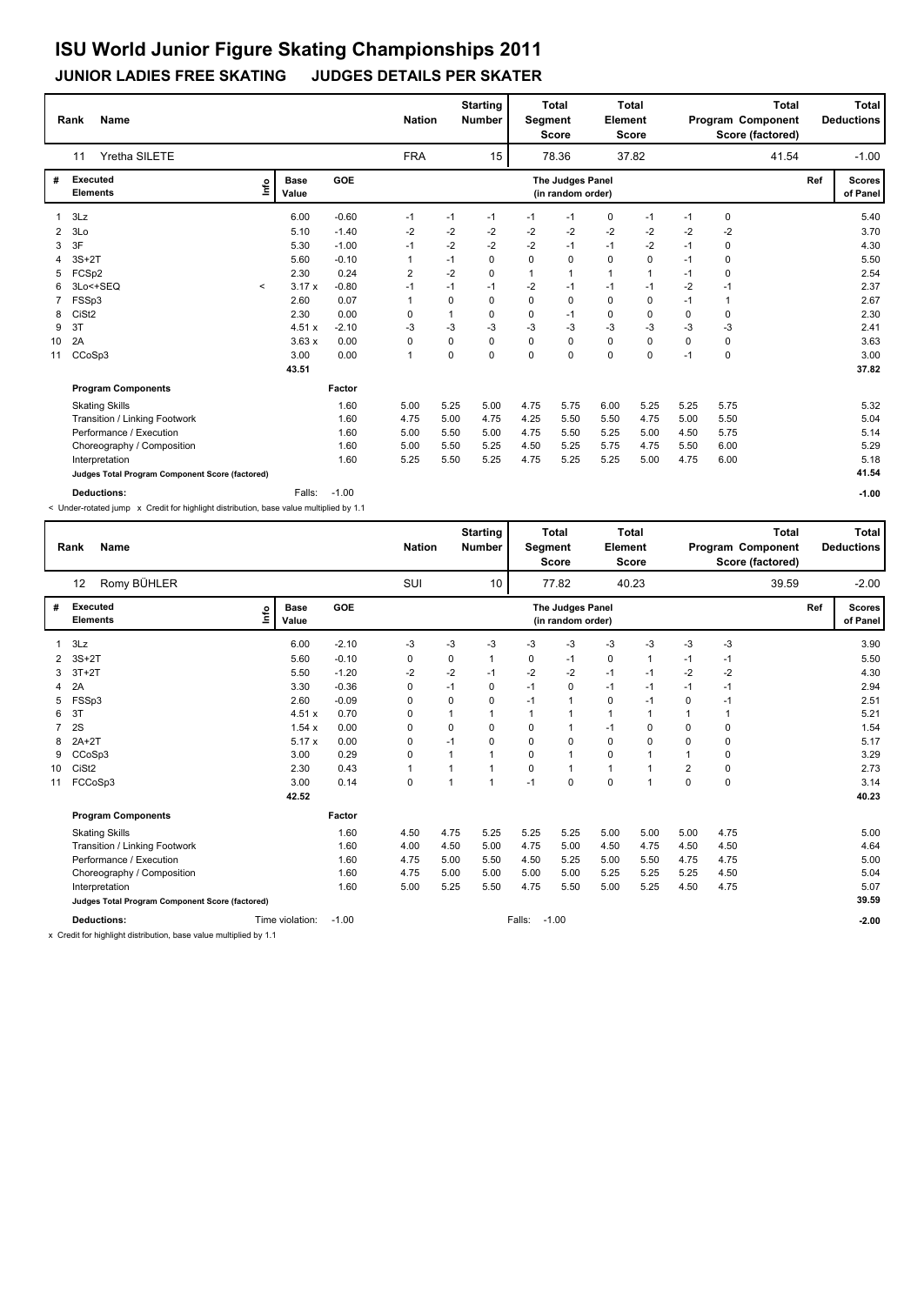#### **JUNIOR LADIES FREE SKATING JUDGES DETAILS PER SKATER**

|    | <b>Name</b><br>Rank                             |              |                      |         | <b>Nation</b>  |      | <b>Starting</b><br><b>Number</b> | Segment     | <b>Total</b><br><b>Score</b>          | Element      | <b>Total</b><br><b>Score</b> |      | Program Component<br>Score (factored) | <b>Total</b> |     | <b>Total</b><br><b>Deductions</b> |
|----|-------------------------------------------------|--------------|----------------------|---------|----------------|------|----------------------------------|-------------|---------------------------------------|--------------|------------------------------|------|---------------------------------------|--------------|-----|-----------------------------------|
|    | Yretha SILETE<br>11                             |              |                      |         | <b>FRA</b>     |      | 15                               |             | 78.36                                 |              | 37.82                        |      |                                       | 41.54        |     | $-1.00$                           |
| #  | Executed<br><b>Elements</b>                     | ١nf٥         | <b>Base</b><br>Value | GOE     |                |      |                                  |             | The Judges Panel<br>(in random order) |              |                              |      |                                       |              | Ref | <b>Scores</b><br>of Panel         |
|    | 3Lz                                             |              | 6.00                 | $-0.60$ | $-1$           | $-1$ | $-1$                             | $-1$        | $-1$                                  | 0            | $-1$                         | $-1$ | $\mathbf 0$                           |              |     | 5.40                              |
| 2  | 3 <sub>LO</sub>                                 |              | 5.10                 | $-1.40$ | -2             | $-2$ | $-2$                             | $-2$        | $-2$                                  | $-2$         | $-2$                         | $-2$ | $-2$                                  |              |     | 3.70                              |
| 3  | 3F                                              |              | 5.30                 | $-1.00$ | $-1$           | $-2$ | $-2$                             | $-2$        | $-1$                                  | $-1$         | $-2$                         | $-1$ | 0                                     |              |     | 4.30                              |
| 4  | $3S+2T$                                         |              | 5.60                 | $-0.10$ | 1              | $-1$ | $\Omega$                         | $\Omega$    | 0                                     | $\mathbf 0$  | 0                            | $-1$ | 0                                     |              |     | 5.50                              |
| 5. | FCSp2                                           |              | 2.30                 | 0.24    | 2              | $-2$ | $\Omega$                         | 1           | $\mathbf{1}$                          | $\mathbf{1}$ | 1                            | $-1$ | 0                                     |              |     | 2.54                              |
| 6  | 3Lo<+SEQ                                        | $\checkmark$ | 3.17x                | $-0.80$ | $-1$           | $-1$ | $-1$                             | -2          | $-1$                                  | $-1$         | $-1$                         | $-2$ | $-1$                                  |              |     | 2.37                              |
|    | FSSp3                                           |              | 2.60                 | 0.07    |                | 0    | $\Omega$                         | $\mathbf 0$ | $\mathbf 0$                           | $\mathbf 0$  | 0                            | $-1$ | 1                                     |              |     | 2.67                              |
| 8  | CiSt <sub>2</sub>                               |              | 2.30                 | 0.00    | 0              | 1    | 0                                | 0           | -1                                    | 0            | 0                            | 0    | 0                                     |              |     | 2.30                              |
| 9  | 3T                                              |              | 4.51x                | $-2.10$ | -3             | $-3$ | $-3$                             | -3          | $-3$                                  | $-3$         | $-3$                         | $-3$ | $-3$                                  |              |     | 2.41                              |
| 10 | 2A                                              |              | 3.63x                | 0.00    | 0              | 0    | 0                                | 0           | 0                                     | 0            | 0                            | 0    | 0                                     |              |     | 3.63                              |
| 11 | CCoSp3                                          |              | 3.00                 | 0.00    | $\overline{1}$ | 0    | $\Omega$                         | $\Omega$    | 0                                     | $\mathbf 0$  | $\Omega$                     | $-1$ | $\mathbf 0$                           |              |     | 3.00                              |
|    |                                                 |              | 43.51                |         |                |      |                                  |             |                                       |              |                              |      |                                       |              |     | 37.82                             |
|    | <b>Program Components</b>                       |              |                      | Factor  |                |      |                                  |             |                                       |              |                              |      |                                       |              |     |                                   |
|    | <b>Skating Skills</b>                           |              |                      | 1.60    | 5.00           | 5.25 | 5.00                             | 4.75        | 5.75                                  | 6.00         | 5.25                         | 5.25 | 5.75                                  |              |     | 5.32                              |
|    | Transition / Linking Footwork                   |              |                      | 1.60    | 4.75           | 5.00 | 4.75                             | 4.25        | 5.50                                  | 5.50         | 4.75                         | 5.00 | 5.50                                  |              |     | 5.04                              |
|    | Performance / Execution                         |              |                      | 1.60    | 5.00           | 5.50 | 5.00                             | 4.75        | 5.50                                  | 5.25         | 5.00                         | 4.50 | 5.75                                  |              |     | 5.14                              |
|    | Choreography / Composition                      |              |                      | 1.60    | 5.00           | 5.50 | 5.25                             | 4.50        | 5.25                                  | 5.75         | 4.75                         | 5.50 | 6.00                                  |              |     | 5.29                              |
|    | Interpretation                                  |              |                      | 1.60    | 5.25           | 5.50 | 5.25                             | 4.75        | 5.25                                  | 5.25         | 5.00                         | 4.75 | 6.00                                  |              |     | 5.18                              |
|    | Judges Total Program Component Score (factored) |              |                      |         |                |      |                                  |             |                                       |              |                              |      |                                       |              |     | 41.54                             |
|    | <b>Deductions:</b>                              |              | Falls:               | $-1.00$ |                |      |                                  |             |                                       |              |                              |      |                                       |              |     | $-1.00$                           |

< Under-rotated jump x Credit for highlight distribution, base value multiplied by 1.1

|    | Name<br>Rank                                    |             |                 |         | <b>Nation</b> |          | <b>Starting</b><br><b>Number</b> | Segment      | Total<br><b>Score</b>                 | Element      | <b>Total</b><br><b>Score</b> |                | <b>Total</b><br>Program Component<br>Score (factored) |     | <b>Total</b><br><b>Deductions</b> |
|----|-------------------------------------------------|-------------|-----------------|---------|---------------|----------|----------------------------------|--------------|---------------------------------------|--------------|------------------------------|----------------|-------------------------------------------------------|-----|-----------------------------------|
|    | Romy BÜHLER<br>12                               |             |                 |         | SUI           |          | 10                               |              | 77.82                                 |              | 40.23                        |                | 39.59                                                 |     | $-2.00$                           |
| #  | <b>Executed</b><br><b>Elements</b>              | <u>lnfo</u> | Base<br>Value   | GOE     |               |          |                                  |              | The Judges Panel<br>(in random order) |              |                              |                |                                                       | Ref | <b>Scores</b><br>of Panel         |
|    | 3Lz                                             |             | 6.00            | $-2.10$ | -3            | -3       | -3                               | -3           | -3                                    | -3           | -3                           | -3             | $-3$                                                  |     | 3.90                              |
| 2  | $3S+2T$                                         |             | 5.60            | $-0.10$ | 0             | 0        | $\mathbf{1}$                     | 0            | $-1$                                  | 0            | 1                            | $-1$           | $-1$                                                  |     | 5.50                              |
| 3  | $3T+2T$                                         |             | 5.50            | $-1.20$ | $-2$          | $-2$     | $-1$                             | $-2$         | $-2$                                  | $-1$         | $-1$                         | -2             | -2                                                    |     | 4.30                              |
| 4  | 2A                                              |             | 3.30            | $-0.36$ | 0             | $-1$     | 0                                | $-1$         | $\mathbf 0$                           | $-1$         | $-1$                         | $-1$           | $-1$                                                  |     | 2.94                              |
| 5  | FSSp3                                           |             | 2.60            | $-0.09$ | 0             | $\Omega$ | 0                                | $-1$         | $\mathbf{1}$                          | 0            | $-1$                         | 0              | $-1$                                                  |     | 2.51                              |
| 6  | 3T                                              |             | 4.51x           | 0.70    | 0             |          | 1                                | $\mathbf{1}$ | 1                                     | $\mathbf{1}$ | $\mathbf{1}$                 | $\mathbf 1$    | $\mathbf{1}$                                          |     | 5.21                              |
|    | 2S                                              |             | 1.54x           | 0.00    | 0             | 0        | 0                                | 0            | 1                                     | $-1$         | 0                            | 0              | 0                                                     |     | 1.54                              |
| 8  | $2A+2T$                                         |             | 5.17x           | 0.00    | 0             | $-1$     | 0                                | $\Omega$     | $\mathbf 0$                           | $\Omega$     | $\Omega$                     | 0              | $\mathbf 0$                                           |     | 5.17                              |
| 9  | CCoSp3                                          |             | 3.00            | 0.29    | 0             |          | 1                                | 0            | $\mathbf{1}$                          | $\Omega$     | 1                            | 1              | 0                                                     |     | 3.29                              |
| 10 | CiSt <sub>2</sub>                               |             | 2.30            | 0.43    | $\mathbf{1}$  |          | 1                                | $\Omega$     | $\mathbf{1}$                          | $\mathbf{1}$ | 1                            | $\overline{2}$ | $\mathbf 0$                                           |     | 2.73                              |
| 11 | FCCoSp3                                         |             | 3.00            | 0.14    | 0             | 1        | $\mathbf{1}$                     | $-1$         | 0                                     | $\mathbf 0$  | $\mathbf{1}$                 | 0              | $\mathbf 0$                                           |     | 3.14                              |
|    |                                                 |             | 42.52           |         |               |          |                                  |              |                                       |              |                              |                |                                                       |     | 40.23                             |
|    | <b>Program Components</b>                       |             |                 | Factor  |               |          |                                  |              |                                       |              |                              |                |                                                       |     |                                   |
|    | <b>Skating Skills</b>                           |             |                 | 1.60    | 4.50          | 4.75     | 5.25                             | 5.25         | 5.25                                  | 5.00         | 5.00                         | 5.00           | 4.75                                                  |     | 5.00                              |
|    | Transition / Linking Footwork                   |             |                 | 1.60    | 4.00          | 4.50     | 5.00                             | 4.75         | 5.00                                  | 4.50         | 4.75                         | 4.50           | 4.50                                                  |     | 4.64                              |
|    | Performance / Execution                         |             |                 | 1.60    | 4.75          | 5.00     | 5.50                             | 4.50         | 5.25                                  | 5.00         | 5.50                         | 4.75           | 4.75                                                  |     | 5.00                              |
|    | Choreography / Composition                      |             |                 | 1.60    | 4.75          | 5.00     | 5.00                             | 5.00         | 5.00                                  | 5.25         | 5.25                         | 5.25           | 4.50                                                  |     | 5.04                              |
|    | Interpretation                                  |             |                 | 1.60    | 5.00          | 5.25     | 5.50                             | 4.75         | 5.50                                  | 5.00         | 5.25                         | 4.50           | 4.75                                                  |     | 5.07                              |
|    | Judges Total Program Component Score (factored) |             |                 |         |               |          |                                  |              |                                       |              |                              |                |                                                       |     | 39.59                             |
|    | <b>Deductions:</b>                              |             | Time violation: | $-1.00$ |               |          |                                  | Falls:       | $-1.00$                               |              |                              |                |                                                       |     | $-2.00$                           |

x Credit for highlight distribution, base value multiplied by 1.1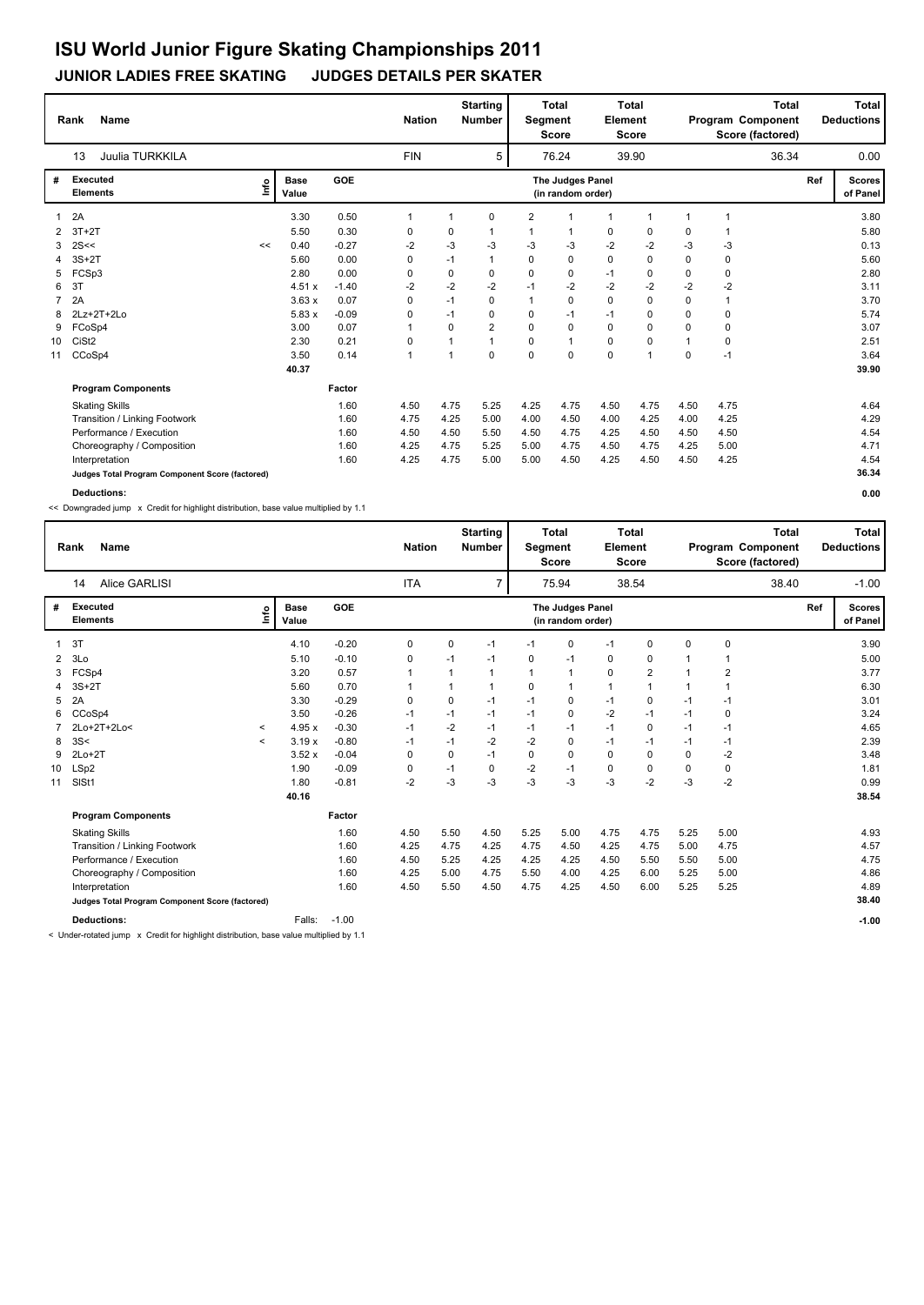#### **JUNIOR LADIES FREE SKATING JUDGES DETAILS PER SKATER**

|                | <b>Name</b><br>Rank                             |      |                      |         | <b>Nation</b>  |          | <b>Starting</b><br><b>Number</b> | Segment        | <b>Total</b><br><b>Score</b>          | Element     | <b>Total</b><br><b>Score</b> |                | <b>Total</b><br>Program Component<br>Score (factored) |     | <b>Total</b><br><b>Deductions</b> |
|----------------|-------------------------------------------------|------|----------------------|---------|----------------|----------|----------------------------------|----------------|---------------------------------------|-------------|------------------------------|----------------|-------------------------------------------------------|-----|-----------------------------------|
|                | Juulia TURKKILA<br>13                           |      |                      |         | <b>FIN</b>     |          | 5                                |                | 76.24                                 |             | 39.90                        |                | 36.34                                                 |     | 0.00                              |
| #              | Executed<br><b>Elements</b>                     | ١nf٥ | <b>Base</b><br>Value | GOE     |                |          |                                  |                | The Judges Panel<br>(in random order) |             |                              |                |                                                       | Ref | <b>Scores</b><br>of Panel         |
|                | 2A                                              |      | 3.30                 | 0.50    | 1              | 1        | 0                                | $\overline{2}$ | -1                                    | 1           | $\mathbf{1}$                 | $\overline{1}$ | 1                                                     |     | 3.80                              |
| 2              | $3T+2T$                                         |      | 5.50                 | 0.30    | 0              | 0        | $\mathbf 1$                      | 1              | 1                                     | 0           | 0                            | 0              |                                                       |     | 5.80                              |
| 3              | 2S<<                                            | <<   | 0.40                 | $-0.27$ | -2             | $-3$     | -3                               | -3             | -3                                    | $-2$        | $-2$                         | -3             | -3                                                    |     | 0.13                              |
| 4              | $3S+2T$                                         |      | 5.60                 | 0.00    | 0              | $-1$     | $\mathbf{1}$                     | 0              | $\mathbf 0$                           | $\mathbf 0$ | 0                            | $\Omega$       | 0                                                     |     | 5.60                              |
| 5              | FCSp3                                           |      | 2.80                 | 0.00    | 0              | 0        | $\Omega$                         | $\Omega$       | 0                                     | $-1$        | $\Omega$                     | $\Omega$       | 0                                                     |     | 2.80                              |
| 6              | 3T                                              |      | 4.51x                | $-1.40$ | -2             | $-2$     | $-2$                             | $-1$           | $-2$                                  | $-2$        | $-2$                         | $-2$           | $-2$                                                  |     | 3.11                              |
| $\overline{7}$ | 2A                                              |      | 3.63x                | 0.07    | 0              | $-1$     | $\Omega$                         | 1              | $\mathbf 0$                           | $\mathbf 0$ | 0                            | $\Omega$       | 1                                                     |     | 3.70                              |
| 8              | 2Lz+2T+2Lo                                      |      | 5.83x                | $-0.09$ | 0              | $-1$     | 0                                | 0              | $-1$                                  | $-1$        | 0                            | 0              | $\mathbf 0$                                           |     | 5.74                              |
| 9              | FCoSp4                                          |      | 3.00                 | 0.07    |                | $\Omega$ | $\overline{2}$                   | $\Omega$       | $\Omega$                              | $\mathbf 0$ | $\Omega$                     | $\Omega$       | $\mathbf 0$                                           |     | 3.07                              |
| 10             | CiSt <sub>2</sub>                               |      | 2.30                 | 0.21    | 0              | 1        | 1                                | 0              | $\overline{1}$                        | $\pmb{0}$   | 0                            |                | 0                                                     |     | 2.51                              |
| 11             | CCoSp4                                          |      | 3.50                 | 0.14    | $\overline{1}$ | 1        | $\Omega$                         | $\mathbf 0$    | $\mathbf 0$                           | $\mathbf 0$ | $\overline{1}$               | $\mathbf 0$    | $-1$                                                  |     | 3.64                              |
|                |                                                 |      | 40.37                |         |                |          |                                  |                |                                       |             |                              |                |                                                       |     | 39.90                             |
|                | <b>Program Components</b>                       |      |                      | Factor  |                |          |                                  |                |                                       |             |                              |                |                                                       |     |                                   |
|                | <b>Skating Skills</b>                           |      |                      | 1.60    | 4.50           | 4.75     | 5.25                             | 4.25           | 4.75                                  | 4.50        | 4.75                         | 4.50           | 4.75                                                  |     | 4.64                              |
|                | Transition / Linking Footwork                   |      |                      | 1.60    | 4.75           | 4.25     | 5.00                             | 4.00           | 4.50                                  | 4.00        | 4.25                         | 4.00           | 4.25                                                  |     | 4.29                              |
|                | Performance / Execution                         |      |                      | 1.60    | 4.50           | 4.50     | 5.50                             | 4.50           | 4.75                                  | 4.25        | 4.50                         | 4.50           | 4.50                                                  |     | 4.54                              |
|                | Choreography / Composition                      |      |                      | 1.60    | 4.25           | 4.75     | 5.25                             | 5.00           | 4.75                                  | 4.50        | 4.75                         | 4.25           | 5.00                                                  |     | 4.71                              |
|                | Interpretation                                  |      |                      | 1.60    | 4.25           | 4.75     | 5.00                             | 5.00           | 4.50                                  | 4.25        | 4.50                         | 4.50           | 4.25                                                  |     | 4.54                              |
|                | Judges Total Program Component Score (factored) |      |                      |         |                |          |                                  |                |                                       |             |                              |                |                                                       |     | 36.34                             |
|                | <b>Deductions:</b>                              |      |                      |         |                |          |                                  |                |                                       |             |                              |                |                                                       |     | 0.00                              |

<< Downgraded jump x Credit for highlight distribution, base value multiplied by 1.1

|    | <b>Name</b><br>Rank                                                                                                                                                                                                                                  |              |                      |            | <b>Nation</b> |      | <b>Starting</b><br><b>Number</b> | Segment | Total<br><b>Score</b>                 | Element      | <b>Total</b><br><b>Score</b> |      | <b>Total</b><br>Program Component<br>Score (factored) |     | <b>Total</b><br><b>Deductions</b> |
|----|------------------------------------------------------------------------------------------------------------------------------------------------------------------------------------------------------------------------------------------------------|--------------|----------------------|------------|---------------|------|----------------------------------|---------|---------------------------------------|--------------|------------------------------|------|-------------------------------------------------------|-----|-----------------------------------|
|    | <b>Alice GARLISI</b><br>14                                                                                                                                                                                                                           |              |                      |            | <b>ITA</b>    |      | $\overline{7}$                   |         | 75.94                                 |              | 38.54                        |      | 38.40                                                 |     | $-1.00$                           |
| #  | <b>Executed</b><br><b>Elements</b>                                                                                                                                                                                                                   | <b>L</b>     | <b>Base</b><br>Value | <b>GOE</b> |               |      |                                  |         | The Judges Panel<br>(in random order) |              |                              |      |                                                       | Ref | <b>Scores</b><br>of Panel         |
|    | 3T                                                                                                                                                                                                                                                   |              | 4.10                 | $-0.20$    | 0             | 0    | $-1$                             | $-1$    | 0                                     | $-1$         | 0                            | 0    | 0                                                     |     | 3.90                              |
| 2  | 3Lo                                                                                                                                                                                                                                                  |              | 5.10                 | $-0.10$    | 0             | $-1$ | $-1$                             | 0       | $-1$                                  | 0            | 0                            |      |                                                       |     | 5.00                              |
| 3  | FCSp4                                                                                                                                                                                                                                                |              | 3.20                 | 0.57       |               |      | 1                                | 1       | 1                                     | $\mathbf 0$  | $\overline{\mathbf{c}}$      |      | $\overline{2}$                                        |     | 3.77                              |
|    | $3S+2T$                                                                                                                                                                                                                                              |              | 5.60                 | 0.70       |               |      | 1                                | 0       | $\mathbf{1}$                          | $\mathbf{1}$ | 1                            |      | $\overline{1}$                                        |     | 6.30                              |
| 5  | 2A                                                                                                                                                                                                                                                   |              | 3.30                 | $-0.29$    | 0             | 0    | $-1$                             | $-1$    | 0                                     | $-1$         | 0                            | $-1$ | -1                                                    |     | 3.01                              |
| 6  | CCoSp4                                                                                                                                                                                                                                               |              | 3.50                 | $-0.26$    | $-1$          | $-1$ | $-1$                             | $-1$    | 0                                     | $-2$         | $-1$                         | $-1$ | 0                                                     |     | 3.24                              |
|    | 2Lo+2T+2Lo<                                                                                                                                                                                                                                          | $\checkmark$ | 4.95x                | $-0.30$    | $-1$          | $-2$ | $-1$                             | $-1$    | $-1$                                  | $-1$         | $\mathbf 0$                  | $-1$ | $-1$                                                  |     | 4.65                              |
| 8  | 3S<                                                                                                                                                                                                                                                  | $\prec$      | 3.19x                | $-0.80$    | $-1$          | $-1$ | $-2$                             | $-2$    | $\mathbf 0$                           | $-1$         | $-1$                         | $-1$ | $-1$                                                  |     | 2.39                              |
| 9  | $2Lo+2T$                                                                                                                                                                                                                                             |              | 3.52x                | $-0.04$    | 0             | 0    | $-1$                             | 0       | 0                                     | $\mathbf 0$  | $\mathbf 0$                  | 0    | $-2$                                                  |     | 3.48                              |
| 10 | LSp2                                                                                                                                                                                                                                                 |              | 1.90                 | $-0.09$    | 0             | $-1$ | 0                                | $-2$    | $-1$                                  | $\mathbf 0$  | 0                            | 0    | 0                                                     |     | 1.81                              |
| 11 | SISt1                                                                                                                                                                                                                                                |              | 1.80                 | $-0.81$    | $-2$          | -3   | $-3$                             | $-3$    | $-3$                                  | $-3$         | $-2$                         | $-3$ | $-2$                                                  |     | 0.99                              |
|    |                                                                                                                                                                                                                                                      |              | 40.16                |            |               |      |                                  |         |                                       |              |                              |      |                                                       |     | 38.54                             |
|    | <b>Program Components</b>                                                                                                                                                                                                                            |              |                      | Factor     |               |      |                                  |         |                                       |              |                              |      |                                                       |     |                                   |
|    | <b>Skating Skills</b>                                                                                                                                                                                                                                |              |                      | 1.60       | 4.50          | 5.50 | 4.50                             | 5.25    | 5.00                                  | 4.75         | 4.75                         | 5.25 | 5.00                                                  |     | 4.93                              |
|    | Transition / Linking Footwork                                                                                                                                                                                                                        |              |                      | 1.60       | 4.25          | 4.75 | 4.25                             | 4.75    | 4.50                                  | 4.25         | 4.75                         | 5.00 | 4.75                                                  |     | 4.57                              |
|    | Performance / Execution                                                                                                                                                                                                                              |              |                      | 1.60       | 4.50          | 5.25 | 4.25                             | 4.25    | 4.25                                  | 4.50         | 5.50                         | 5.50 | 5.00                                                  |     | 4.75                              |
|    | Choreography / Composition                                                                                                                                                                                                                           |              |                      | 1.60       | 4.25          | 5.00 | 4.75                             | 5.50    | 4.00                                  | 4.25         | 6.00                         | 5.25 | 5.00                                                  |     | 4.86                              |
|    | Interpretation                                                                                                                                                                                                                                       |              |                      | 1.60       | 4.50          | 5.50 | 4.50                             | 4.75    | 4.25                                  | 4.50         | 6.00                         | 5.25 | 5.25                                                  |     | 4.89                              |
|    | Judges Total Program Component Score (factored)                                                                                                                                                                                                      |              |                      |            |               |      |                                  |         |                                       |              |                              |      |                                                       |     | 38.40                             |
|    | <b>Deductions:</b><br>and the company of the company of the company of the company of the company of the company of the company of the company of the company of the company of the company of the company of the company of the company of the comp |              | Falls:               | $-1.00$    |               |      |                                  |         |                                       |              |                              |      |                                                       |     | $-1.00$                           |

< Under-rotated jump x Credit for highlight distribution, base value multiplied by 1.1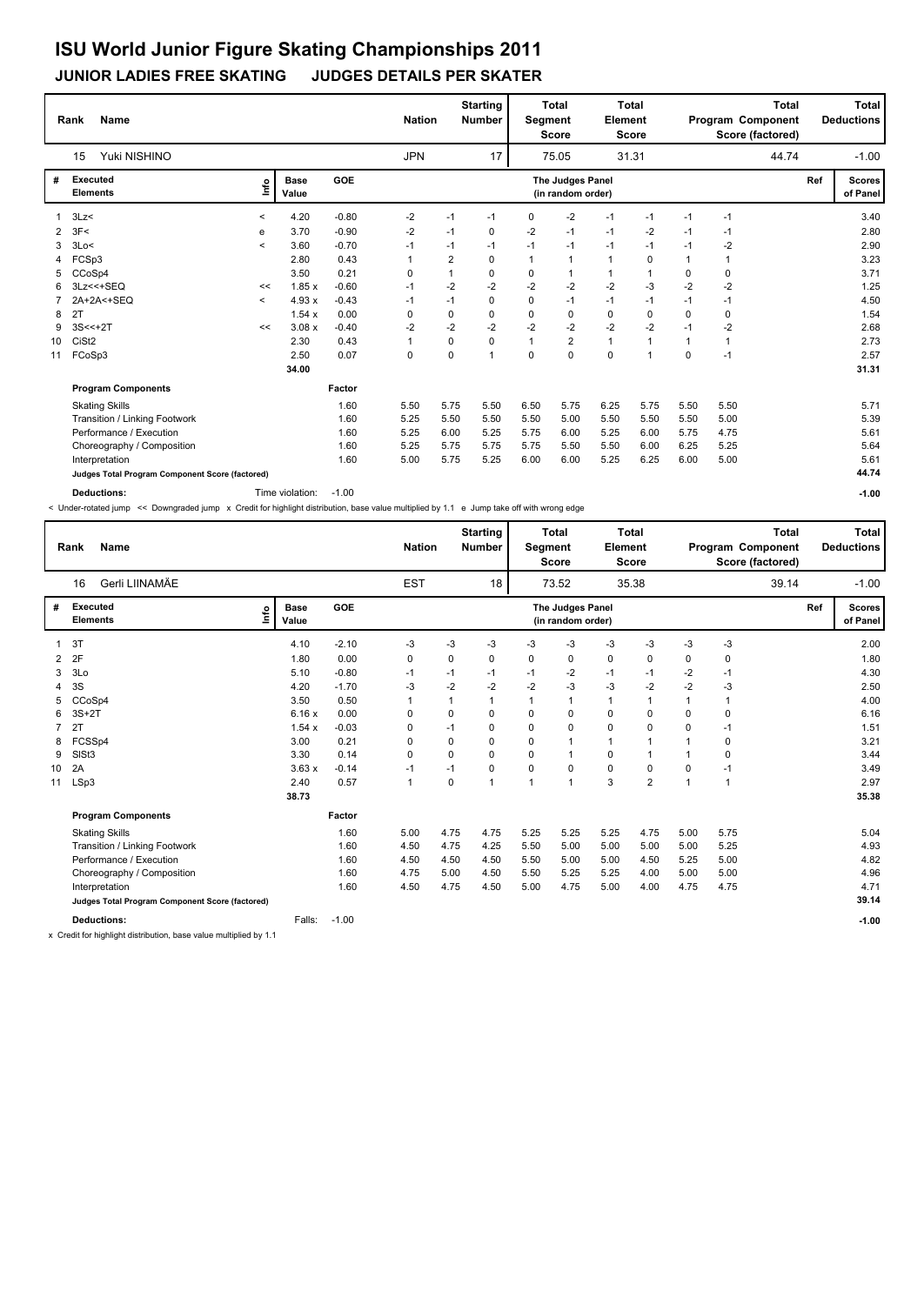#### **JUNIOR LADIES FREE SKATING JUDGES DETAILS PER SKATER**

|    | <b>Name</b><br>Rank<br>Yuki NISHINO<br>15       |                          |                      |         | <b>Nation</b> |                | <b>Starting</b><br><b>Number</b> | Segment      | <b>Total</b><br><b>Score</b>          | Element      | <b>Total</b><br><b>Score</b> |              | <b>Total</b><br>Program Component<br>Score (factored) |     | <b>Total</b><br><b>Deductions</b> |
|----|-------------------------------------------------|--------------------------|----------------------|---------|---------------|----------------|----------------------------------|--------------|---------------------------------------|--------------|------------------------------|--------------|-------------------------------------------------------|-----|-----------------------------------|
|    |                                                 |                          |                      |         | <b>JPN</b>    |                | 17                               |              | 75.05                                 |              | 31.31                        |              | 44.74                                                 |     | $-1.00$                           |
| #  | Executed<br><b>Elements</b>                     | ١nf٥                     | <b>Base</b><br>Value | GOE     |               |                |                                  |              | The Judges Panel<br>(in random order) |              |                              |              |                                                       | Ref | <b>Scores</b><br>of Panel         |
|    | 3Lz                                             | $\,<\,$                  | 4.20                 | $-0.80$ | $-2$          | $-1$           | $-1$                             | 0            | $-2$                                  | $-1$         | $-1$                         | $-1$         | $-1$                                                  |     | 3.40                              |
| 2  | 3F<                                             | е                        | 3.70                 | $-0.90$ | -2            | $-1$           | 0                                | -2           | $-1$                                  | $-1$         | $-2$                         | $-1$         | $-1$                                                  |     | 2.80                              |
| 3  | 3Lo<                                            | $\,<\,$                  | 3.60                 | $-0.70$ | $-1$          | $-1$           | $-1$                             | $-1$         | $-1$                                  | $-1$         | $-1$                         | $-1$         | $-2$                                                  |     | 2.90                              |
| 4  | FCSp3                                           |                          | 2.80                 | 0.43    | 1             | $\overline{2}$ | $\Omega$                         | $\mathbf 1$  | $\mathbf{1}$                          | $\mathbf{1}$ | $\Omega$                     | $\mathbf{1}$ | 1                                                     |     | 3.23                              |
| 5. | CCoSp4                                          |                          | 3.50                 | 0.21    | 0             | $\mathbf{1}$   | $\Omega$                         | 0            | $\mathbf 1$                           | $\mathbf{1}$ | 1                            | 0            | 0                                                     |     | 3.71                              |
| 6  | $3Lz<<+SEQ$                                     | <<                       | 1.85x                | $-0.60$ | $-1$          | $-2$           | $-2$                             | $-2$         | $-2$                                  | $-2$         | $-3$                         | $-2$         | $-2$                                                  |     | 1.25                              |
|    | 2A+2A<+SEQ                                      | $\overline{\phantom{a}}$ | 4.93x                | $-0.43$ | $-1$          | $-1$           | $\mathbf 0$                      | $\mathbf 0$  | $-1$                                  | $-1$         | $-1$                         | $-1$         | $-1$                                                  |     | 4.50                              |
| 8  | 2T                                              |                          | 1.54x                | 0.00    | 0             | 0              | 0                                | 0            | 0                                     | 0            | 0                            | 0            | 0                                                     |     | 1.54                              |
| 9  | $3S < +2T$                                      | <<                       | 3.08x                | $-0.40$ | $-2$          | $-2$           | $-2$                             | $-2$         | $-2$                                  | $-2$         | $-2$                         | $-1$         | $-2$                                                  |     | 2.68                              |
| 10 | CiSt <sub>2</sub>                               |                          | 2.30                 | 0.43    | 1             | 0              | 0                                | $\mathbf{1}$ | $\overline{2}$                        | $\mathbf{1}$ | 1                            |              | $\overline{1}$                                        |     | 2.73                              |
| 11 | FCoSp3                                          |                          | 2.50                 | 0.07    | 0             | 0              | $\overline{1}$                   | $\Omega$     | $\mathbf 0$                           | 0            | 1                            | 0            | $-1$                                                  |     | 2.57                              |
|    |                                                 |                          | 34.00                |         |               |                |                                  |              |                                       |              |                              |              |                                                       |     | 31.31                             |
|    | <b>Program Components</b>                       |                          |                      | Factor  |               |                |                                  |              |                                       |              |                              |              |                                                       |     |                                   |
|    | <b>Skating Skills</b>                           |                          |                      | 1.60    | 5.50          | 5.75           | 5.50                             | 6.50         | 5.75                                  | 6.25         | 5.75                         | 5.50         | 5.50                                                  |     | 5.71                              |
|    | Transition / Linking Footwork                   |                          |                      | 1.60    | 5.25          | 5.50           | 5.50                             | 5.50         | 5.00                                  | 5.50         | 5.50                         | 5.50         | 5.00                                                  |     | 5.39                              |
|    | Performance / Execution                         |                          |                      | 1.60    | 5.25          | 6.00           | 5.25                             | 5.75         | 6.00                                  | 5.25         | 6.00                         | 5.75         | 4.75                                                  |     | 5.61                              |
|    | Choreography / Composition                      |                          |                      | 1.60    | 5.25          | 5.75           | 5.75                             | 5.75         | 5.50                                  | 5.50         | 6.00                         | 6.25         | 5.25                                                  |     | 5.64                              |
|    | Interpretation                                  |                          |                      | 1.60    | 5.00          | 5.75           | 5.25                             | 6.00         | 6.00                                  | 5.25         | 6.25                         | 6.00         | 5.00                                                  |     | 5.61                              |
|    | Judges Total Program Component Score (factored) |                          |                      |         |               |                |                                  |              |                                       |              |                              |              |                                                       |     | 44.74                             |
|    | <b>Deductions:</b>                              |                          | Time violation:      | $-1.00$ |               |                |                                  |              |                                       |              |                              |              |                                                       |     | $-1.00$                           |

< Under-rotated jump << Downgraded jump x Credit for highlight distribution, base value multiplied by 1.1 e Jump take off with wrong edge

|    | Rank                        | <b>Name</b>                                     |                      |         | <b>Nation</b> |          | <b>Starting</b><br><b>Number</b> | Segment | <b>Total</b><br><b>Score</b>          | Element      | Total<br><b>Score</b> |             | Program Component<br>Score (factored) | <b>Total</b> |     | Total<br><b>Deductions</b> |
|----|-----------------------------|-------------------------------------------------|----------------------|---------|---------------|----------|----------------------------------|---------|---------------------------------------|--------------|-----------------------|-------------|---------------------------------------|--------------|-----|----------------------------|
|    | 16                          | Gerli LIINAMÄE                                  |                      |         | <b>EST</b>    |          | 18                               |         | 73.52                                 |              | 35.38                 |             |                                       | 39.14        |     | $-1.00$                    |
| #  | Executed<br><b>Elements</b> | ١nfo                                            | <b>Base</b><br>Value | GOE     |               |          |                                  |         | The Judges Panel<br>(in random order) |              |                       |             |                                       |              | Ref | <b>Scores</b><br>of Panel  |
| 1  | 3T                          |                                                 | 4.10                 | $-2.10$ | $-3$          | $-3$     | $-3$                             | $-3$    | $-3$                                  | $-3$         | $-3$                  | $-3$        | $-3$                                  |              |     | 2.00                       |
| 2  | 2F                          |                                                 | 1.80                 | 0.00    | 0             | 0        | $\Omega$                         | 0       | 0                                     | 0            | $\Omega$              | 0           | 0                                     |              |     | 1.80                       |
| 3  | 3Lo                         |                                                 | 5.10                 | $-0.80$ | $-1$          | $-1$     | $-1$                             | $-1$    | $-2$                                  | $-1$         | $-1$                  | $-2$        | $-1$                                  |              |     | 4.30                       |
| 4  | 3S                          |                                                 | 4.20                 | $-1.70$ | -3            | $-2$     | $-2$                             | $-2$    | $-3$                                  | $-3$         | $-2$                  | $-2$        | $-3$                                  |              |     | 2.50                       |
| 5  | CCoSp4                      |                                                 | 3.50                 | 0.50    | $\mathbf{1}$  | 1        |                                  | 1       | 1                                     | 1            | 1                     |             | $\overline{1}$                        |              |     | 4.00                       |
| 6  | 3S+2T                       |                                                 | 6.16x                | 0.00    | $\Omega$      | $\Omega$ | 0                                | 0       | 0                                     | $\Omega$     | $\Omega$              | $\Omega$    | $\Omega$                              |              |     | 6.16                       |
| 7  | 2T                          |                                                 | 1.54x                | $-0.03$ | $\Omega$      | $-1$     | 0                                | 0       | 0                                     | $\mathbf 0$  | $\Omega$              | $\Omega$    | $-1$                                  |              |     | 1.51                       |
|    | 8 FCSSp4                    |                                                 | 3.00                 | 0.21    | $\Omega$      | $\Omega$ | 0                                | 0       | $\mathbf{1}$                          | $\mathbf{1}$ | $\mathbf{1}$          | $\mathbf 1$ | $\mathbf 0$                           |              |     | 3.21                       |
| 9  | SIS <sub>t3</sub>           |                                                 | 3.30                 | 0.14    | 0             | 0        | 0                                | 0       | $\mathbf{1}$                          | 0            | -1                    | $\mathbf 1$ | $\mathbf 0$                           |              |     | 3.44                       |
| 10 | 2A                          |                                                 | 3.63x                | $-0.14$ | $-1$          | $-1$     | 0                                | 0       | 0                                     | $\mathbf 0$  | 0                     | $\Omega$    | $-1$                                  |              |     | 3.49                       |
| 11 | LSp3                        |                                                 | 2.40                 | 0.57    | $\mathbf{1}$  | 0        |                                  | 1       | $\mathbf{1}$                          | 3            | $\overline{2}$        | 1           | $\overline{1}$                        |              |     | 2.97                       |
|    |                             |                                                 | 38.73                |         |               |          |                                  |         |                                       |              |                       |             |                                       |              |     | 35.38                      |
|    |                             | <b>Program Components</b>                       |                      | Factor  |               |          |                                  |         |                                       |              |                       |             |                                       |              |     |                            |
|    |                             | <b>Skating Skills</b>                           |                      | 1.60    | 5.00          | 4.75     | 4.75                             | 5.25    | 5.25                                  | 5.25         | 4.75                  | 5.00        | 5.75                                  |              |     | 5.04                       |
|    |                             | Transition / Linking Footwork                   |                      | 1.60    | 4.50          | 4.75     | 4.25                             | 5.50    | 5.00                                  | 5.00         | 5.00                  | 5.00        | 5.25                                  |              |     | 4.93                       |
|    |                             | Performance / Execution                         |                      | 1.60    | 4.50          | 4.50     | 4.50                             | 5.50    | 5.00                                  | 5.00         | 4.50                  | 5.25        | 5.00                                  |              |     | 4.82                       |
|    |                             | Choreography / Composition                      |                      | 1.60    | 4.75          | 5.00     | 4.50                             | 5.50    | 5.25                                  | 5.25         | 4.00                  | 5.00        | 5.00                                  |              |     | 4.96                       |
|    |                             | Interpretation                                  |                      | 1.60    | 4.50          | 4.75     | 4.50                             | 5.00    | 4.75                                  | 5.00         | 4.00                  | 4.75        | 4.75                                  |              |     | 4.71                       |
|    |                             | Judges Total Program Component Score (factored) |                      |         |               |          |                                  |         |                                       |              |                       |             |                                       |              |     | 39.14                      |
|    |                             | <b>Deductions:</b>                              | Falls:               | $-1.00$ |               |          |                                  |         |                                       |              |                       |             |                                       |              |     | $-1.00$                    |

x Credit for highlight distribution, base value multiplied by 1.1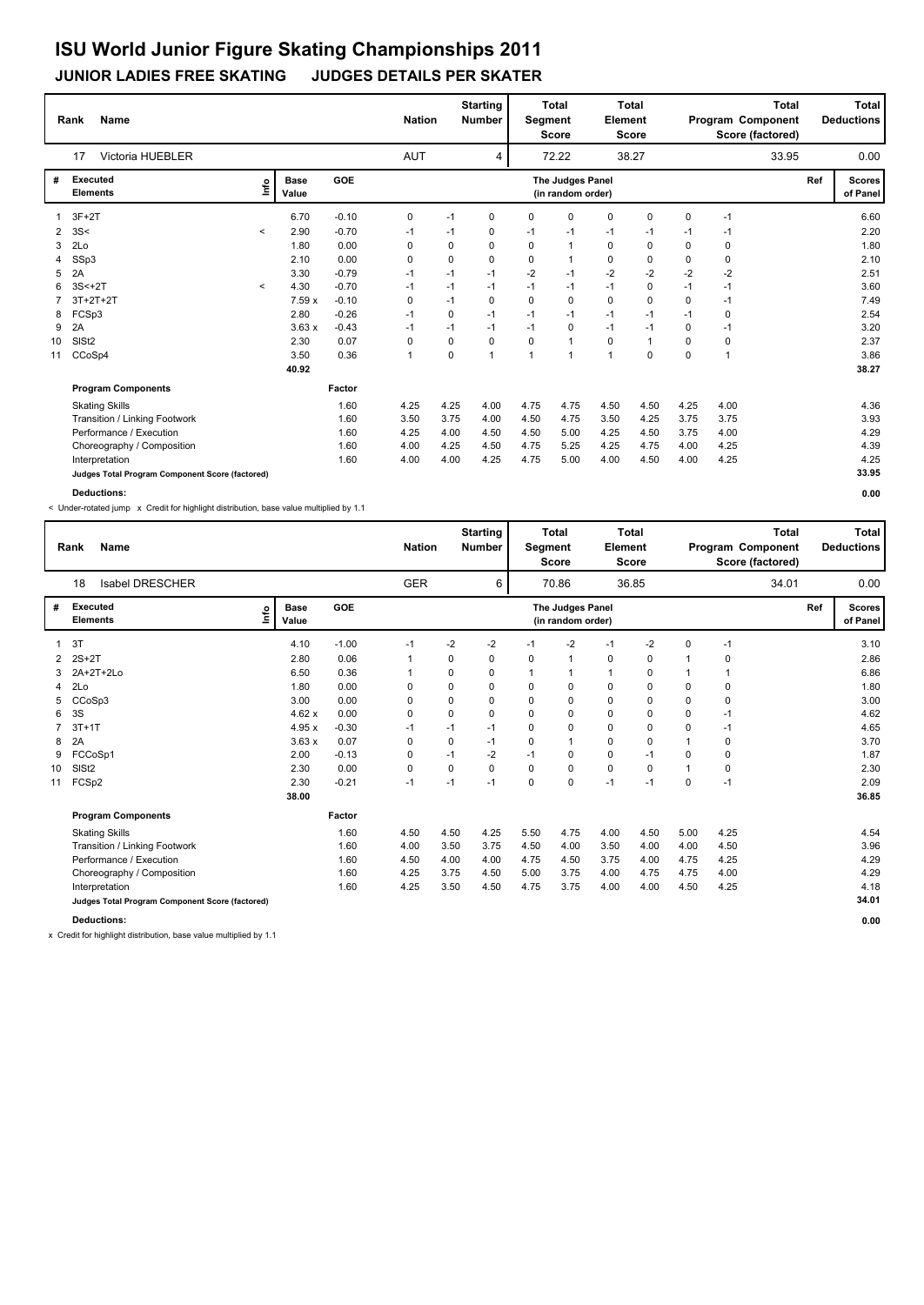#### **JUNIOR LADIES FREE SKATING JUDGES DETAILS PER SKATER**

|                | Name<br>Rank                                    |         |                      |         | <b>Nation</b> |      | <b>Starting</b><br><b>Number</b> | Segment        | <b>Total</b><br><b>Score</b>          | Element        | <b>Total</b><br><b>Score</b> |          |             | <b>Total</b><br>Program Component<br>Score (factored) |     | Total<br><b>Deductions</b> |
|----------------|-------------------------------------------------|---------|----------------------|---------|---------------|------|----------------------------------|----------------|---------------------------------------|----------------|------------------------------|----------|-------------|-------------------------------------------------------|-----|----------------------------|
|                | <b>Victoria HUEBLER</b><br>17                   |         |                      |         | AUT           |      | 4                                |                | 72.22                                 |                | 38.27                        |          |             | 33.95                                                 |     | 0.00                       |
| #              | <b>Executed</b><br><b>Elements</b>              | ١nf٥    | <b>Base</b><br>Value | GOE     |               |      |                                  |                | The Judges Panel<br>(in random order) |                |                              |          |             |                                                       | Ref | <b>Scores</b><br>of Panel  |
|                | $3F+2T$                                         |         | 6.70                 | $-0.10$ | 0             | $-1$ | $\mathbf 0$                      | 0              | 0                                     | 0              | 0                            | $\Omega$ | $-1$        |                                                       |     | 6.60                       |
| $\overline{2}$ | 3S<                                             | $\prec$ | 2.90                 | $-0.70$ | $-1$          | $-1$ | 0                                | $-1$           | $-1$                                  | $-1$           | -1                           | $-1$     | $-1$        |                                                       |     | 2.20                       |
| 3              | 2Lo                                             |         | 1.80                 | 0.00    | 0             | 0    | $\Omega$                         | $\Omega$       | $\mathbf{1}$                          | $\mathbf 0$    | $\Omega$                     | $\Omega$ | 0           |                                                       |     | 1.80                       |
| 4              | SSp3                                            |         | 2.10                 | 0.00    | 0             | 0    | 0                                | 0              | $\overline{1}$                        | 0              | 0                            | $\Omega$ | 0           |                                                       |     | 2.10                       |
| 5              | 2A                                              |         | 3.30                 | $-0.79$ | $-1$          | $-1$ | $-1$                             | $-2$           | $-1$                                  | $-2$           | $-2$                         | $-2$     | $-2$        |                                                       |     | 2.51                       |
| 6              | $3S<+2T$                                        | $\,<\,$ | 4.30                 | $-0.70$ | $-1$          | $-1$ | $-1$                             | $-1$           | $-1$                                  | $-1$           | 0                            | $-1$     | $-1$        |                                                       |     | 3.60                       |
|                | $3T+2T+2T$                                      |         | 7.59 x               | $-0.10$ | 0             | $-1$ | $\Omega$                         | $\Omega$       | 0                                     | $\mathbf 0$    | $\Omega$                     | $\Omega$ | $-1$        |                                                       |     | 7.49                       |
| 8              | FCSp3                                           |         | 2.80                 | $-0.26$ | $-1$          | 0    | $-1$                             | $-1$           | $-1$                                  | $-1$           | $-1$                         | $-1$     | $\mathbf 0$ |                                                       |     | 2.54                       |
| 9              | 2A                                              |         | 3.63x                | $-0.43$ | $-1$          | $-1$ | $-1$                             | $-1$           | 0                                     | $-1$           | $-1$                         | $\Omega$ | $-1$        |                                                       |     | 3.20                       |
| 10             | SIS <sub>t2</sub>                               |         | 2.30                 | 0.07    | 0             | 0    | $\mathbf 0$                      | $\mathbf 0$    | $\overline{1}$                        | $\mathbf 0$    | $\mathbf{1}$                 | 0        | $\mathbf 0$ |                                                       |     | 2.37                       |
| 11             | CCoSp4                                          |         | 3.50                 | 0.36    | $\mathbf{1}$  | 0    | $\overline{1}$                   | $\overline{1}$ | 1                                     | $\overline{1}$ | $\Omega$                     | $\Omega$ | 1           |                                                       |     | 3.86                       |
|                |                                                 |         | 40.92                |         |               |      |                                  |                |                                       |                |                              |          |             |                                                       |     | 38.27                      |
|                | <b>Program Components</b>                       |         |                      | Factor  |               |      |                                  |                |                                       |                |                              |          |             |                                                       |     |                            |
|                | <b>Skating Skills</b>                           |         |                      | 1.60    | 4.25          | 4.25 | 4.00                             | 4.75           | 4.75                                  | 4.50           | 4.50                         | 4.25     | 4.00        |                                                       |     | 4.36                       |
|                | Transition / Linking Footwork                   |         |                      | 1.60    | 3.50          | 3.75 | 4.00                             | 4.50           | 4.75                                  | 3.50           | 4.25                         | 3.75     | 3.75        |                                                       |     | 3.93                       |
|                | Performance / Execution                         |         |                      | 1.60    | 4.25          | 4.00 | 4.50                             | 4.50           | 5.00                                  | 4.25           | 4.50                         | 3.75     | 4.00        |                                                       |     | 4.29                       |
|                | Choreography / Composition                      |         |                      | 1.60    | 4.00          | 4.25 | 4.50                             | 4.75           | 5.25                                  | 4.25           | 4.75                         | 4.00     | 4.25        |                                                       |     | 4.39                       |
|                | Interpretation                                  |         |                      | 1.60    | 4.00          | 4.00 | 4.25                             | 4.75           | 5.00                                  | 4.00           | 4.50                         | 4.00     | 4.25        |                                                       |     | 4.25                       |
|                | Judges Total Program Component Score (factored) |         |                      |         |               |      |                                  |                |                                       |                |                              |          |             |                                                       |     | 33.95                      |
|                | <b>Deductions:</b>                              |         |                      |         |               |      |                                  |                |                                       |                |                              |          |             |                                                       |     | 0.00                       |

< Under-rotated jump x Credit for highlight distribution, base value multiplied by 1.1

|    | <b>Name</b><br>Rank                             |                      |            | <b>Nation</b> |      | <b>Starting</b><br><b>Number</b> | Segment | <b>Total</b><br><b>Score</b>          | Element      | Total<br><b>Score</b> |      | <b>Total</b><br>Program Component<br>Score (factored) |     | <b>Total</b><br><b>Deductions</b> |
|----|-------------------------------------------------|----------------------|------------|---------------|------|----------------------------------|---------|---------------------------------------|--------------|-----------------------|------|-------------------------------------------------------|-----|-----------------------------------|
|    | <b>Isabel DRESCHER</b><br>18                    |                      |            | <b>GER</b>    |      | 6                                |         | 70.86                                 |              | 36.85                 |      | 34.01                                                 |     | 0.00                              |
| #  | <b>Executed</b><br><b>L</b><br><b>Elements</b>  | <b>Base</b><br>Value | <b>GOE</b> |               |      |                                  |         | The Judges Panel<br>(in random order) |              |                       |      |                                                       | Ref | <b>Scores</b><br>of Panel         |
| 1  | 3T                                              | 4.10                 | $-1.00$    | $-1$          | -2   | $-2$                             | $-1$    | $-2$                                  | $-1$         | $-2$                  | 0    | $-1$                                                  |     | 3.10                              |
| 2  | $2S+2T$                                         | 2.80                 | 0.06       | 1             | 0    | 0                                | 0       | 1                                     | 0            | 0                     |      | 0                                                     |     | 2.86                              |
| 3  | 2A+2T+2Lo                                       | 6.50                 | 0.36       |               | 0    | 0                                |         | 1                                     | $\mathbf{1}$ | 0                     |      | $\mathbf 1$                                           |     | 6.86                              |
| 4  | 2Lo                                             | 1.80                 | 0.00       | 0             | 0    | $\Omega$                         | 0       | 0                                     | $\mathbf 0$  | 0                     | 0    | 0                                                     |     | 1.80                              |
| 5  | CCoSp3                                          | 3.00                 | 0.00       | 0             | 0    | 0                                | 0       | 0                                     | 0            | 0                     | 0    | 0                                                     |     | 3.00                              |
| 6  | 3S                                              | 4.62x                | 0.00       | 0             | 0    | $\Omega$                         | 0       | 0                                     | $\mathbf 0$  | $\mathbf 0$           | 0    | $-1$                                                  |     | 4.62                              |
|    | $3T+1T$                                         | 4.95x                | $-0.30$    | $-1$          | $-1$ | $-1$                             | 0       | 0                                     | $\mathbf 0$  | 0                     | 0    | $-1$                                                  |     | 4.65                              |
| 8  | 2A                                              | 3.63x                | 0.07       | 0             | 0    | $-1$                             | 0       | 1                                     | $\mathbf 0$  | $\Omega$              |      | 0                                                     |     | 3.70                              |
| 9  | FCCoSp1                                         | 2.00                 | $-0.13$    | 0             | $-1$ | $-2$                             | $-1$    | 0                                     | $\mathbf 0$  | $-1$                  | 0    | $\mathbf 0$                                           |     | 1.87                              |
| 10 | SISt <sub>2</sub>                               | 2.30                 | 0.00       | 0             | 0    | $\Omega$                         | 0       | $\mathbf 0$                           | 0            | $\mathbf 0$           |      | 0                                                     |     | 2.30                              |
| 11 | FCSp2                                           | 2.30                 | $-0.21$    | $-1$          | $-1$ | $-1$                             | 0       | $\mathbf 0$                           | $-1$         | $-1$                  | 0    | $-1$                                                  |     | 2.09                              |
|    |                                                 | 38.00                |            |               |      |                                  |         |                                       |              |                       |      |                                                       |     | 36.85                             |
|    | <b>Program Components</b>                       |                      | Factor     |               |      |                                  |         |                                       |              |                       |      |                                                       |     |                                   |
|    | <b>Skating Skills</b>                           |                      | 1.60       | 4.50          | 4.50 | 4.25                             | 5.50    | 4.75                                  | 4.00         | 4.50                  | 5.00 | 4.25                                                  |     | 4.54                              |
|    | Transition / Linking Footwork                   |                      | 1.60       | 4.00          | 3.50 | 3.75                             | 4.50    | 4.00                                  | 3.50         | 4.00                  | 4.00 | 4.50                                                  |     | 3.96                              |
|    | Performance / Execution                         |                      | 1.60       | 4.50          | 4.00 | 4.00                             | 4.75    | 4.50                                  | 3.75         | 4.00                  | 4.75 | 4.25                                                  |     | 4.29                              |
|    | Choreography / Composition                      |                      | 1.60       | 4.25          | 3.75 | 4.50                             | 5.00    | 3.75                                  | 4.00         | 4.75                  | 4.75 | 4.00                                                  |     | 4.29                              |
|    | Interpretation                                  |                      | 1.60       | 4.25          | 3.50 | 4.50                             | 4.75    | 3.75                                  | 4.00         | 4.00                  | 4.50 | 4.25                                                  |     | 4.18                              |
|    | Judges Total Program Component Score (factored) |                      |            |               |      |                                  |         |                                       |              |                       |      |                                                       |     | 34.01                             |
|    | <b>Deductions:</b>                              |                      |            |               |      |                                  |         |                                       |              |                       |      |                                                       |     | 0.00                              |

x Credit for highlight distribution, base value multiplied by 1.1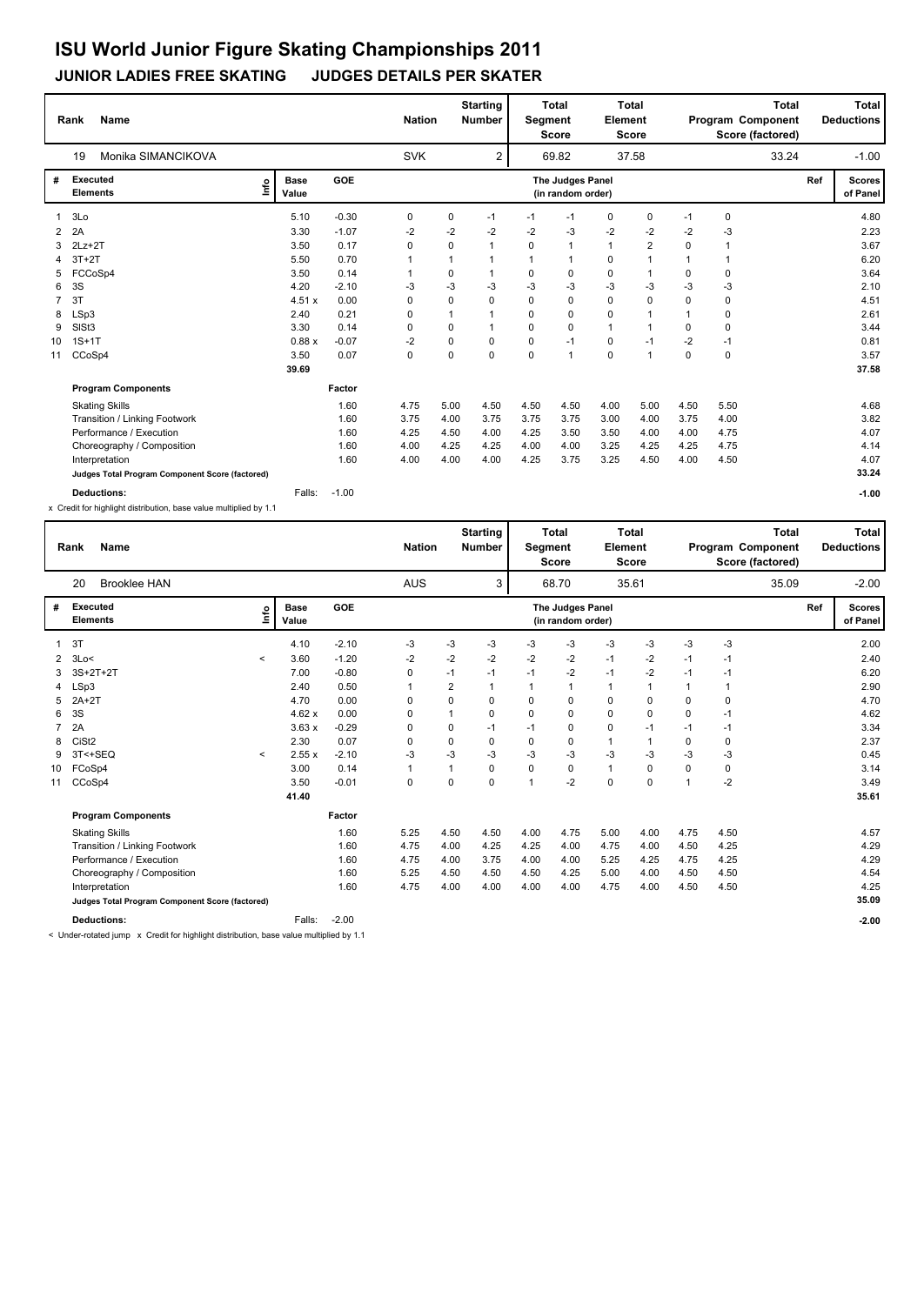#### **JUNIOR LADIES FREE SKATING JUDGES DETAILS PER SKATER**

|                | <b>Name</b><br>Rank                             |                      |         | <b>Nation</b> |              | <b>Starting</b><br>Number | Segment      | <b>Total</b><br><b>Score</b>          | Element      | <b>Total</b><br><b>Score</b> |          | Program Component<br>Score (factored) | <b>Total</b> | Total<br><b>Deductions</b> |
|----------------|-------------------------------------------------|----------------------|---------|---------------|--------------|---------------------------|--------------|---------------------------------------|--------------|------------------------------|----------|---------------------------------------|--------------|----------------------------|
|                | Monika SIMANCIKOVA<br>19                        |                      |         | <b>SVK</b>    |              | 2                         |              | 69.82                                 |              | 37.58                        |          |                                       | 33.24        | $-1.00$                    |
| #              | <b>Executed</b><br>١nf٥<br><b>Elements</b>      | <b>Base</b><br>Value | GOE     |               |              |                           |              | The Judges Panel<br>(in random order) |              |                              |          |                                       | Ref          | <b>Scores</b><br>of Panel  |
| $\mathbf{1}$   | 3Lo                                             | 5.10                 | $-0.30$ | 0             | 0            | $-1$                      | $-1$         | $-1$                                  | 0            | 0                            | $-1$     | 0                                     |              | 4.80                       |
| 2              | 2A                                              | 3.30                 | $-1.07$ | $-2$          | $-2$         | -2                        | $-2$         | -3                                    | $-2$         | $-2$                         | $-2$     | -3                                    |              | 2.23                       |
| 3              | $2Lz+2T$                                        | 3.50                 | 0.17    | 0             | 0            | $\mathbf{1}$              | $\Omega$     | $\mathbf{1}$                          | $\mathbf{1}$ | $\overline{2}$               | $\Omega$ | 1                                     |              | 3.67                       |
|                | $3T+2T$                                         | 5.50                 | 0.70    | $\mathbf 1$   | 1            | $\mathbf 1$               | $\mathbf{1}$ | 1                                     | 0            | $\overline{1}$               |          | -1                                    |              | 6.20                       |
| 5.             | FCCoSp4                                         | 3.50                 | 0.14    |               | 0            |                           | $\Omega$     | 0                                     | 0            | $\overline{1}$               | $\Omega$ | 0                                     |              | 3.64                       |
| 6              | 3S                                              | 4.20                 | $-2.10$ | -3            | $-3$         | -3                        | $-3$         | $-3$                                  | $-3$         | $-3$                         | $-3$     | $-3$                                  |              | 2.10                       |
| $\overline{7}$ | 3T                                              | 4.51 x               | 0.00    | 0             | 0            | 0                         | $\Omega$     | 0                                     | 0            | $\Omega$                     | $\Omega$ | 0                                     |              | 4.51                       |
| 8              | LSp3                                            | 2.40                 | 0.21    | 0             | $\mathbf{1}$ |                           | 0            | 0                                     | $\mathbf 0$  | 1                            |          | 0                                     |              | 2.61                       |
| 9              | SISt3                                           | 3.30                 | 0.14    | 0             | 0            |                           | $\Omega$     | $\Omega$                              | $\mathbf{1}$ | 1                            | $\Omega$ | $\Omega$                              |              | 3.44                       |
| 10             | $1S+1T$                                         | 0.88x                | $-0.07$ | $-2$          | 0            | 0                         | $\mathbf 0$  | $-1$                                  | 0            | $-1$                         | $-2$     | -1                                    |              | 0.81                       |
| 11             | CCoSp4                                          | 3.50                 | 0.07    | $\mathbf 0$   | $\Omega$     | $\Omega$                  | $\Omega$     | $\overline{1}$                        | $\mathbf 0$  | 1                            | $\Omega$ | $\mathbf 0$                           |              | 3.57                       |
|                |                                                 | 39.69                |         |               |              |                           |              |                                       |              |                              |          |                                       |              | 37.58                      |
|                | <b>Program Components</b>                       |                      | Factor  |               |              |                           |              |                                       |              |                              |          |                                       |              |                            |
|                | <b>Skating Skills</b>                           |                      | 1.60    | 4.75          | 5.00         | 4.50                      | 4.50         | 4.50                                  | 4.00         | 5.00                         | 4.50     | 5.50                                  |              | 4.68                       |
|                | Transition / Linking Footwork                   |                      | 1.60    | 3.75          | 4.00         | 3.75                      | 3.75         | 3.75                                  | 3.00         | 4.00                         | 3.75     | 4.00                                  |              | 3.82                       |
|                | Performance / Execution                         |                      | 1.60    | 4.25          | 4.50         | 4.00                      | 4.25         | 3.50                                  | 3.50         | 4.00                         | 4.00     | 4.75                                  |              | 4.07                       |
|                | Choreography / Composition                      |                      | 1.60    | 4.00          | 4.25         | 4.25                      | 4.00         | 4.00                                  | 3.25         | 4.25                         | 4.25     | 4.75                                  |              | 4.14                       |
|                | Interpretation                                  |                      | 1.60    | 4.00          | 4.00         | 4.00                      | 4.25         | 3.75                                  | 3.25         | 4.50                         | 4.00     | 4.50                                  |              | 4.07                       |
|                | Judges Total Program Component Score (factored) |                      |         |               |              |                           |              |                                       |              |                              |          |                                       |              | 33.24                      |
|                | <b>Deductions:</b>                              | Falls:               | $-1.00$ |               |              |                           |              |                                       |              |                              |          |                                       |              | $-1.00$                    |

x Credit for highlight distribution, base value multiplied by 1.1

| Rank         | <b>Name</b>                                     |         |                      |         | <b>Nation</b> |                | <b>Starting</b><br><b>Number</b> | <b>Segment</b> | Total<br><b>Score</b>                 | Element      | <b>Total</b><br><b>Score</b> |                | Program Component | <b>Total</b><br>Score (factored) |     | Total<br><b>Deductions</b> |
|--------------|-------------------------------------------------|---------|----------------------|---------|---------------|----------------|----------------------------------|----------------|---------------------------------------|--------------|------------------------------|----------------|-------------------|----------------------------------|-----|----------------------------|
|              | <b>Brooklee HAN</b><br>20                       |         |                      |         | <b>AUS</b>    |                | 3                                |                | 68.70                                 |              | 35.61                        |                |                   | 35.09                            |     | $-2.00$                    |
| #            | <b>Executed</b><br><b>Elements</b>              | Info    | <b>Base</b><br>Value | GOE     |               |                |                                  |                | The Judges Panel<br>(in random order) |              |                              |                |                   |                                  | Ref | <b>Scores</b><br>of Panel  |
| 1            | 3T                                              |         | 4.10                 | $-2.10$ | -3            | -3             | -3                               | -3             | -3                                    | -3           | $-3$                         | -3             | $-3$              |                                  |     | 2.00                       |
| $\mathbf{2}$ | 3Lo<                                            | $\prec$ | 3.60                 | $-1.20$ | $-2$          | $-2$           | $-2$                             | $-2$           | $-2$                                  | $-1$         | -2                           | $-1$           | $-1$              |                                  |     | 2.40                       |
| 3            | $3S+2T+2T$                                      |         | 7.00                 | $-0.80$ | $\mathbf 0$   | $-1$           | $-1$                             | $-1$           | $-2$                                  | $-1$         | $-2$                         | $-1$           | $-1$              |                                  |     | 6.20                       |
| 4            | LSp3                                            |         | 2.40                 | 0.50    | $\mathbf{1}$  | $\overline{2}$ | 1                                | 1              | $\mathbf{1}$                          | $\mathbf{1}$ | $\mathbf{1}$                 | $\mathbf{1}$   | $\overline{1}$    |                                  |     | 2.90                       |
| 5            | $2A+2T$                                         |         | 4.70                 | 0.00    | 0             | 0              | 0                                | 0              | 0                                     | 0            | 0                            | 0              | 0                 |                                  |     | 4.70                       |
| 6            | 3S                                              |         | 4.62x                | 0.00    | $\Omega$      |                | 0                                | 0              | $\Omega$                              | $\Omega$     | $\Omega$                     | 0              | $-1$              |                                  |     | 4.62                       |
|              | 2A                                              |         | 3.63x                | $-0.29$ | 0             | 0              | $-1$                             | $-1$           | $\mathbf 0$                           | $\mathbf 0$  | $-1$                         | $-1$           | $-1$              |                                  |     | 3.34                       |
| 8            | CiSt <sub>2</sub>                               |         | 2.30                 | 0.07    | 0             | 0              | $\Omega$                         | 0              | 0                                     | $\mathbf{1}$ | $\mathbf{1}$                 | 0              | 0                 |                                  |     | 2.37                       |
| 9            | 3T<+SEQ                                         | $\prec$ | 2.55x                | $-2.10$ | $-3$          | -3             | -3                               | -3             | $-3$                                  | $-3$         | -3                           | -3             | $-3$              |                                  |     | 0.45                       |
| 10           | FCoSp4                                          |         | 3.00                 | 0.14    | $\mathbf{1}$  | 1              | 0                                | 0              | $\Omega$                              | $\mathbf{1}$ | $\Omega$                     | $\Omega$       | $\mathbf 0$       |                                  |     | 3.14                       |
| 11           | CCoSp4                                          |         | 3.50                 | $-0.01$ | 0             | 0              | 0                                | $\mathbf{1}$   | $-2$                                  | $\mathbf 0$  | 0                            | $\overline{1}$ | -2                |                                  |     | 3.49                       |
|              |                                                 |         | 41.40                |         |               |                |                                  |                |                                       |              |                              |                |                   |                                  |     | 35.61                      |
|              | <b>Program Components</b>                       |         |                      | Factor  |               |                |                                  |                |                                       |              |                              |                |                   |                                  |     |                            |
|              | <b>Skating Skills</b>                           |         |                      | 1.60    | 5.25          | 4.50           | 4.50                             | 4.00           | 4.75                                  | 5.00         | 4.00                         | 4.75           | 4.50              |                                  |     | 4.57                       |
|              | Transition / Linking Footwork                   |         |                      | 1.60    | 4.75          | 4.00           | 4.25                             | 4.25           | 4.00                                  | 4.75         | 4.00                         | 4.50           | 4.25              |                                  |     | 4.29                       |
|              | Performance / Execution                         |         |                      | 1.60    | 4.75          | 4.00           | 3.75                             | 4.00           | 4.00                                  | 5.25         | 4.25                         | 4.75           | 4.25              |                                  |     | 4.29                       |
|              | Choreography / Composition                      |         |                      | 1.60    | 5.25          | 4.50           | 4.50                             | 4.50           | 4.25                                  | 5.00         | 4.00                         | 4.50           | 4.50              |                                  |     | 4.54                       |
|              | Interpretation                                  |         |                      | 1.60    | 4.75          | 4.00           | 4.00                             | 4.00           | 4.00                                  | 4.75         | 4.00                         | 4.50           | 4.50              |                                  |     | 4.25                       |
|              | Judges Total Program Component Score (factored) |         |                      |         |               |                |                                  |                |                                       |              |                              |                |                   |                                  |     | 35.09                      |
|              | <b>Deductions:</b>                              |         | Falls:               | $-2.00$ |               |                |                                  |                |                                       |              |                              |                |                   |                                  |     | $-2.00$                    |

< Under-rotated jump x Credit for highlight distribution, base value multiplied by 1.1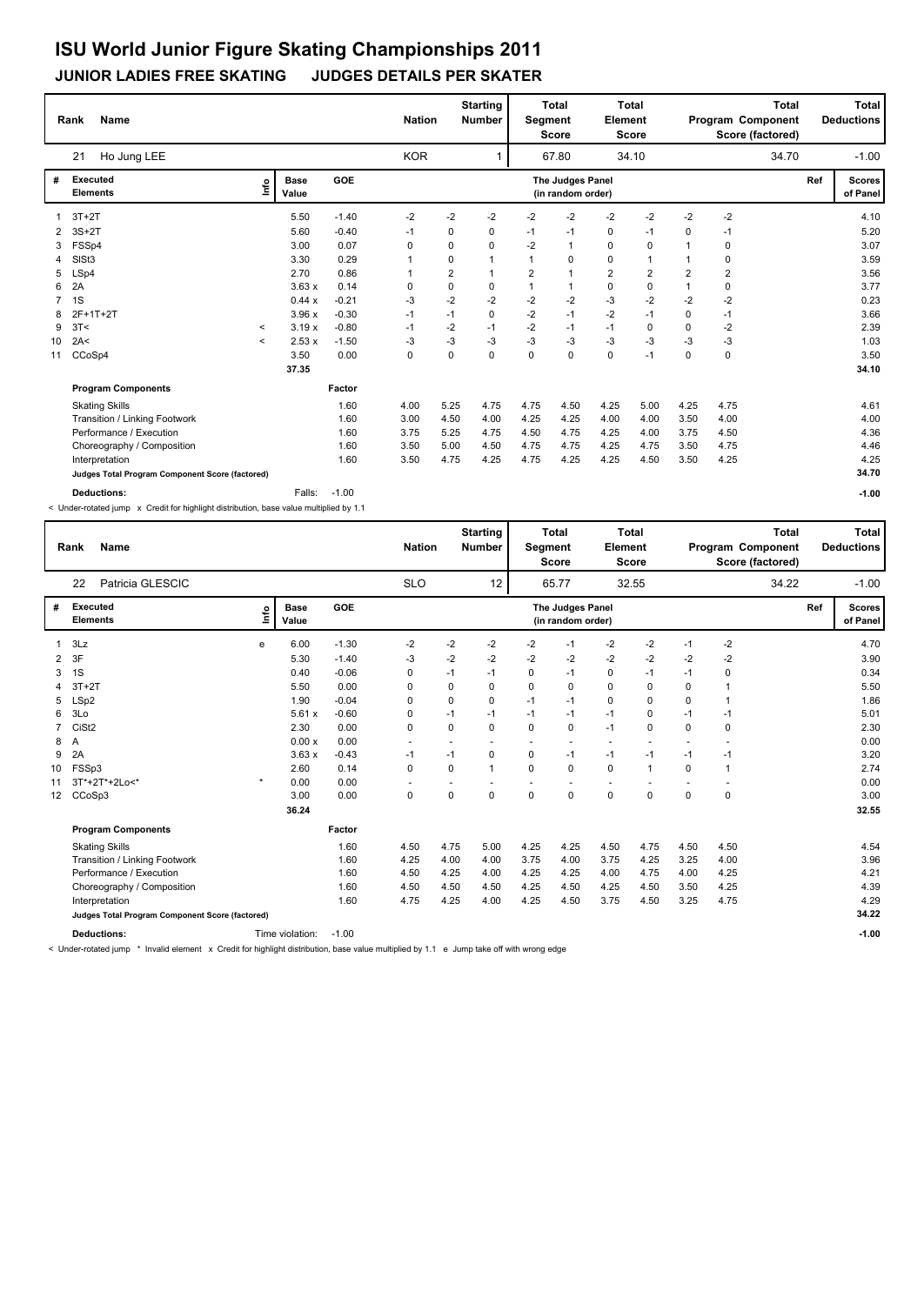#### **JUNIOR LADIES FREE SKATING JUDGES DETAILS PER SKATER**

|                | <b>Name</b><br>Rank                             |                          |                      |         | <b>Nation</b> |          | <b>Starting</b><br><b>Number</b> | Segment  | <b>Total</b><br><b>Score</b>          | Element        | <b>Total</b><br><b>Score</b> |                | <b>Total</b><br>Program Component<br>Score (factored) |     | <b>Total</b><br><b>Deductions</b> |
|----------------|-------------------------------------------------|--------------------------|----------------------|---------|---------------|----------|----------------------------------|----------|---------------------------------------|----------------|------------------------------|----------------|-------------------------------------------------------|-----|-----------------------------------|
|                | Ho Jung LEE<br>21                               |                          |                      |         | <b>KOR</b>    |          |                                  |          | 67.80                                 |                | 34.10                        |                | 34.70                                                 |     | $-1.00$                           |
| #              | Executed<br><b>Elements</b>                     | ١nf٥                     | <b>Base</b><br>Value | GOE     |               |          |                                  |          | The Judges Panel<br>(in random order) |                |                              |                |                                                       | Ref | <b>Scores</b><br>of Panel         |
|                | $3T+2T$                                         |                          | 5.50                 | $-1.40$ | $-2$          | $-2$     | $-2$                             | -2       | $-2$                                  | $-2$           | $-2$                         | $-2$           | $-2$                                                  |     | 4.10                              |
|                | $3S+2T$                                         |                          | 5.60                 | $-0.40$ | $-1$          | 0        | 0                                | $-1$     | $-1$                                  | 0              | $-1$                         | 0              | $-1$                                                  |     | 5.20                              |
| 3              | FSSp4                                           |                          | 3.00                 | 0.07    | 0             | 0        | 0                                | $-2$     | $\mathbf{1}$                          | $\mathbf 0$    | 0                            |                | 0                                                     |     | 3.07                              |
| 4              | SIS <sub>t3</sub>                               |                          | 3.30                 | 0.29    |               | 0        | $\mathbf{1}$                     | 1        | 0                                     | 0              | 1                            |                | 0                                                     |     | 3.59                              |
| 5              | LSp4                                            |                          | 2.70                 | 0.86    |               | 2        | $\mathbf{1}$                     | 2        | $\mathbf{1}$                          | $\overline{2}$ | 2                            | $\overline{2}$ | 2                                                     |     | 3.56                              |
| 6              | 2A                                              |                          | 3.63x                | 0.14    | 0             | 0        | 0                                | 1        | $\mathbf{1}$                          | $\mathbf 0$    | 0                            | $\mathbf{1}$   | 0                                                     |     | 3.77                              |
| $\overline{7}$ | 1S                                              |                          | 0.44 x               | $-0.21$ | -3            | $-2$     | $-2$                             | $-2$     | $-2$                                  | $-3$           | $-2$                         | $-2$           | $-2$                                                  |     | 0.23                              |
| 8              | 2F+1T+2T                                        |                          | 3.96x                | $-0.30$ | $-1$          | $-1$     | 0                                | $-2$     | $-1$                                  | $-2$           | $-1$                         | 0              | $-1$                                                  |     | 3.66                              |
| 9              | 3T<                                             | $\overline{\phantom{a}}$ | 3.19x                | $-0.80$ | $-1$          | $-2$     | $-1$                             | $-2$     | $-1$                                  | $-1$           | 0                            | $\Omega$       | $-2$                                                  |     | 2.39                              |
| 10             | 2A<                                             | $\,<\,$                  | 2.53x                | $-1.50$ | -3            | $-3$     | -3                               | -3       | -3                                    | $-3$           | $-3$                         | -3             | -3                                                    |     | 1.03                              |
| 11             | CCoSp4                                          |                          | 3.50                 | 0.00    | 0             | $\Omega$ | $\Omega$                         | $\Omega$ | $\Omega$                              | $\mathbf 0$    | $-1$                         | $\Omega$       | $\mathbf 0$                                           |     | 3.50                              |
|                |                                                 |                          | 37.35                |         |               |          |                                  |          |                                       |                |                              |                |                                                       |     | 34.10                             |
|                | <b>Program Components</b>                       |                          |                      | Factor  |               |          |                                  |          |                                       |                |                              |                |                                                       |     |                                   |
|                | <b>Skating Skills</b>                           |                          |                      | 1.60    | 4.00          | 5.25     | 4.75                             | 4.75     | 4.50                                  | 4.25           | 5.00                         | 4.25           | 4.75                                                  |     | 4.61                              |
|                | Transition / Linking Footwork                   |                          |                      | 1.60    | 3.00          | 4.50     | 4.00                             | 4.25     | 4.25                                  | 4.00           | 4.00                         | 3.50           | 4.00                                                  |     | 4.00                              |
|                | Performance / Execution                         |                          |                      | 1.60    | 3.75          | 5.25     | 4.75                             | 4.50     | 4.75                                  | 4.25           | 4.00                         | 3.75           | 4.50                                                  |     | 4.36                              |
|                | Choreography / Composition                      |                          |                      | 1.60    | 3.50          | 5.00     | 4.50                             | 4.75     | 4.75                                  | 4.25           | 4.75                         | 3.50           | 4.75                                                  |     | 4.46                              |
|                | Interpretation                                  |                          |                      | 1.60    | 3.50          | 4.75     | 4.25                             | 4.75     | 4.25                                  | 4.25           | 4.50                         | 3.50           | 4.25                                                  |     | 4.25                              |
|                | Judges Total Program Component Score (factored) |                          |                      |         |               |          |                                  |          |                                       |                |                              |                |                                                       |     | 34.70                             |
|                | Deductions:                                     |                          | Falls:               | $-1.00$ |               |          |                                  |          |                                       |                |                              |                |                                                       |     | $-1.00$                           |

< Under-rotated jump x Credit for highlight distribution, base value multiplied by 1.1

|                 | <b>Name</b><br>Rank                             |         |                      |         | <b>Nation</b>            |          | <b>Starting</b><br><b>Number</b> | Segment | <b>Total</b><br><b>Score</b>          | Element                  | <b>Total</b><br><b>Score</b> |             |             | <b>Total</b><br>Program Component<br>Score (factored) |     | <b>Total</b><br><b>Deductions</b> |
|-----------------|-------------------------------------------------|---------|----------------------|---------|--------------------------|----------|----------------------------------|---------|---------------------------------------|--------------------------|------------------------------|-------------|-------------|-------------------------------------------------------|-----|-----------------------------------|
|                 | Patricia GLESCIC<br>22                          |         |                      |         | <b>SLO</b>               |          | 12                               |         | 65.77                                 |                          | 32.55                        |             |             | 34.22                                                 |     | $-1.00$                           |
| #               | Executed<br><b>Elements</b>                     | ۴o      | <b>Base</b><br>Value | GOE     |                          |          |                                  |         | The Judges Panel<br>(in random order) |                          |                              |             |             |                                                       | Ref | <b>Scores</b><br>of Panel         |
|                 | 3Lz                                             | е       | 6.00                 | $-1.30$ | $-2$                     | $-2$     | $-2$                             | -2      | $-1$                                  | $-2$                     | $-2$                         | $-1$        | $-2$        |                                                       |     | 4.70                              |
| 2               | 3F                                              |         | 5.30                 | $-1.40$ | $-3$                     | $-2$     | $-2$                             | $-2$    | $-2$                                  | $-2$                     | $-2$                         | $-2$        | $-2$        |                                                       |     | 3.90                              |
| 3               | 1S                                              |         | 0.40                 | $-0.06$ | $\mathbf 0$              | $-1$     | $-1$                             | 0       | $-1$                                  | $\mathbf 0$              | $-1$                         | $-1$        | $\mathbf 0$ |                                                       |     | 0.34                              |
| 4               | $3T+2T$                                         |         | 5.50                 | 0.00    | 0                        | 0        | 0                                | 0       | 0                                     | $\mathbf 0$              | $\Omega$                     | $\Omega$    | $\mathbf 1$ |                                                       |     | 5.50                              |
| 5               | LSp2                                            |         | 1.90                 | $-0.04$ | 0                        | 0        | 0                                | $-1$    | $-1$                                  | 0                        | $\Omega$                     | $\Omega$    | 1           |                                                       |     | 1.86                              |
| 6               | 3Lo                                             |         | 5.61x                | $-0.60$ | 0                        | $-1$     | $-1$                             | $-1$    | $-1$                                  | $-1$                     | $\mathbf 0$                  | $-1$        | $-1$        |                                                       |     | 5.01                              |
| 7               | CiSt <sub>2</sub>                               |         | 2.30                 | 0.00    | $\mathbf 0$              | 0        | 0                                | 0       | $\mathbf 0$                           | $-1$                     | $\mathbf 0$                  | $\Omega$    | 0           |                                                       |     | 2.30                              |
| 8               | Α                                               |         | 0.00x                | 0.00    | $\overline{\phantom{a}}$ |          |                                  |         | $\overline{\phantom{a}}$              | $\overline{\phantom{a}}$ | $\overline{\phantom{a}}$     |             | $\sim$      |                                                       |     | 0.00                              |
| 9               | 2A                                              |         | 3.63x                | $-0.43$ | $-1$                     | $-1$     | 0                                | 0       | $-1$                                  | $-1$                     | $-1$                         | $-1$        | $-1$        |                                                       |     | 3.20                              |
| 10              | FSSp3                                           |         | 2.60                 | 0.14    | 0                        | $\Omega$ | 1                                | 0       | 0                                     | 0                        | $\mathbf{1}$                 | $\Omega$    | 1           |                                                       |     | 2.74                              |
| 11              | 3T*+2T*+2Lo<*                                   | $\star$ | 0.00                 | 0.00    | $\overline{\phantom{a}}$ |          |                                  |         |                                       |                          |                              |             |             |                                                       |     | 0.00                              |
| 12 <sup>2</sup> | CCoSp3                                          |         | 3.00                 | 0.00    | $\mathbf 0$              | 0        | 0                                | 0       | 0                                     | $\mathbf 0$              | $\mathbf 0$                  | $\mathbf 0$ | $\mathbf 0$ |                                                       |     | 3.00                              |
|                 |                                                 |         | 36.24                |         |                          |          |                                  |         |                                       |                          |                              |             |             |                                                       |     | 32.55                             |
|                 | <b>Program Components</b>                       |         |                      | Factor  |                          |          |                                  |         |                                       |                          |                              |             |             |                                                       |     |                                   |
|                 | <b>Skating Skills</b>                           |         |                      | 1.60    | 4.50                     | 4.75     | 5.00                             | 4.25    | 4.25                                  | 4.50                     | 4.75                         | 4.50        | 4.50        |                                                       |     | 4.54                              |
|                 | Transition / Linking Footwork                   |         |                      | 1.60    | 4.25                     | 4.00     | 4.00                             | 3.75    | 4.00                                  | 3.75                     | 4.25                         | 3.25        | 4.00        |                                                       |     | 3.96                              |
|                 | Performance / Execution                         |         |                      | 1.60    | 4.50                     | 4.25     | 4.00                             | 4.25    | 4.25                                  | 4.00                     | 4.75                         | 4.00        | 4.25        |                                                       |     | 4.21                              |
|                 | Choreography / Composition                      |         |                      | 1.60    | 4.50                     | 4.50     | 4.50                             | 4.25    | 4.50                                  | 4.25                     | 4.50                         | 3.50        | 4.25        |                                                       |     | 4.39                              |
|                 | Interpretation                                  |         |                      | 1.60    | 4.75                     | 4.25     | 4.00                             | 4.25    | 4.50                                  | 3.75                     | 4.50                         | 3.25        | 4.75        |                                                       |     | 4.29                              |
|                 | Judges Total Program Component Score (factored) |         |                      |         |                          |          |                                  |         |                                       |                          |                              |             |             |                                                       |     | 34.22                             |
|                 | <b>Deductions:</b>                              |         | Time violation:      | $-1.00$ |                          |          |                                  |         |                                       |                          |                              |             |             |                                                       |     | $-1.00$                           |

< Under-rotated jump \* Invalid element x Credit for highlight distribution, base value multiplied by 1.1 e Jump take off with wrong edge